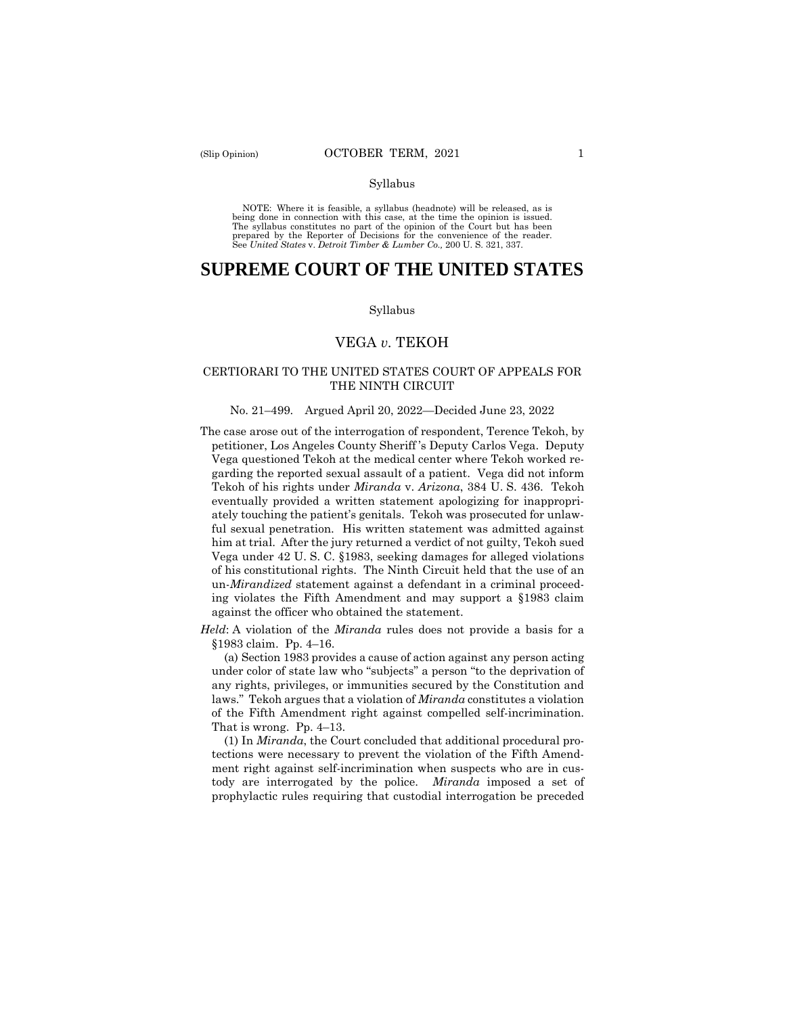NOTE: Where it is feasible, a syllabus (headnote) will be released, as is being done in connection with this case, at the time the opinion is issued. The syllabus constitutes no part of the opinion of the Court but has been<br>prepared by the Reporter of Decisions for the convenience of the reader.<br>See United States v. Detroit Timber & Lumber Co., 200 U.S. 321, 337.

# **SUPREME COURT OF THE UNITED STATES**

#### Syllabus

# VEGA *v.* TEKOH

# CERTIORARI TO THE UNITED STATES COURT OF APPEALS FOR THE NINTH CIRCUIT

#### No. 21–499. Argued April 20, 2022—Decided June 23, 2022

 The case arose out of the interrogation of respondent, Terence Tekoh, by petitioner, Los Angeles County Sheriff 's Deputy Carlos Vega. Deputy Vega questioned Tekoh at the medical center where Tekoh worked regarding the reported sexual assault of a patient. Vega did not inform Tekoh of his rights under *Miranda* v. *Arizona*, 384 U. S. 436. Tekoh eventually provided a written statement apologizing for inappropriately touching the patient's genitals. Tekoh was prosecuted for unlawful sexual penetration. His written statement was admitted against him at trial. After the jury returned a verdict of not guilty, Tekoh sued Vega under 42 U. S. C. §1983, seeking damages for alleged violations of his constitutional rights. The Ninth Circuit held that the use of an un-*Mirandized* statement against a defendant in a criminal proceeding violates the Fifth Amendment and may support a §1983 claim against the officer who obtained the statement.

*Held*: A violation of the *Miranda* rules does not provide a basis for a §1983 claim. Pp. 4–16.

(a) Section 1983 provides a cause of action against any person acting under color of state law who "subjects" a person "to the deprivation of any rights, privileges, or immunities secured by the Constitution and laws." Tekoh argues that a violation of *Miranda* constitutes a violation of the Fifth Amendment right against compelled self-incrimination. That is wrong. Pp. 4–13.

(1) In *Miranda*, the Court concluded that additional procedural protections were necessary to prevent the violation of the Fifth Amendment right against self-incrimination when suspects who are in custody are interrogated by the police. *Miranda* imposed a set of prophylactic rules requiring that custodial interrogation be preceded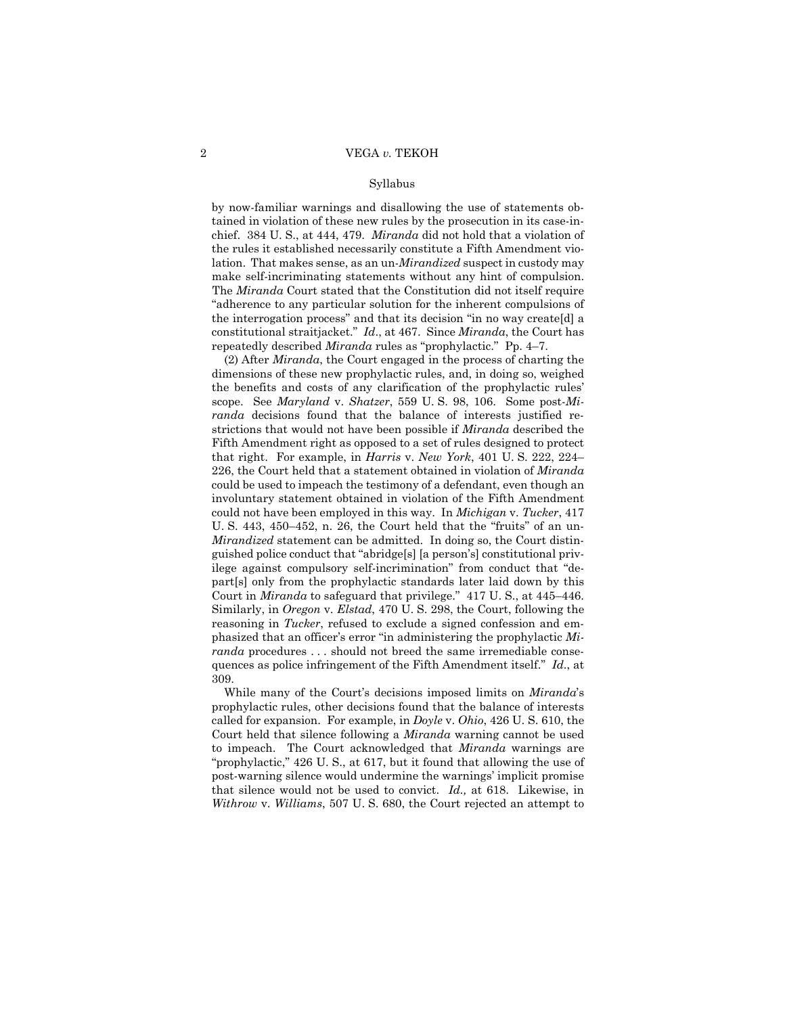chief. 384 U. S., at 444, 479. *Miranda* did not hold that a violation of the interrogation process" and that its decision "in no way create[d] a by now-familiar warnings and disallowing the use of statements obtained in violation of these new rules by the prosecution in its case-inthe rules it established necessarily constitute a Fifth Amendment violation. That makes sense, as an un-*Mirandized* suspect in custody may make self-incriminating statements without any hint of compulsion. The *Miranda* Court stated that the Constitution did not itself require "adherence to any particular solution for the inherent compulsions of constitutional straitjacket." *Id*., at 467. Since *Miranda*, the Court has repeatedly described *Miranda* rules as "prophylactic." Pp. 4–7.

(2) After *Miranda*, the Court engaged in the process of charting the dimensions of these new prophylactic rules, and, in doing so, weighed the benefits and costs of any clarification of the prophylactic rules' scope. See *Maryland* v. *Shatzer*, 559 U. S. 98, 106. Some post-*Miranda* decisions found that the balance of interests justified restrictions that would not have been possible if *Miranda* described the Fifth Amendment right as opposed to a set of rules designed to protect that right. For example, in *Harris* v. *New York*, 401 U. S. 222, 224– 226, the Court held that a statement obtained in violation of *Miranda*  could be used to impeach the testimony of a defendant, even though an involuntary statement obtained in violation of the Fifth Amendment could not have been employed in this way. In *Michigan* v. *Tucker*, 417 U. S. 443, 450–452, n. 26, the Court held that the "fruits" of an un-*Mirandized* statement can be admitted. In doing so, the Court distinguished police conduct that "abridge[s] [a person's] constitutional privilege against compulsory self-incrimination" from conduct that "depart[s] only from the prophylactic standards later laid down by this Court in *Miranda* to safeguard that privilege." 417 U. S., at 445–446. Similarly, in *Oregon* v. *Elstad*, 470 U. S. 298, the Court, following the reasoning in *Tucker*, refused to exclude a signed confession and emphasized that an officer's error "in administering the prophylactic *Miranda* procedures ... should not breed the same irremediable consequences as police infringement of the Fifth Amendment itself." *Id*., at 309.

 to impeach. The Court acknowledged that *Miranda* warnings are While many of the Court's decisions imposed limits on *Miranda*'s prophylactic rules, other decisions found that the balance of interests called for expansion. For example, in *Doyle* v. *Ohio*, 426 U. S. 610, the Court held that silence following a *Miranda* warning cannot be used "prophylactic," 426 U. S., at 617, but it found that allowing the use of post-warning silence would undermine the warnings' implicit promise that silence would not be used to convict. *Id.,* at 618. Likewise, in *Withrow* v. *Williams*, 507 U. S. 680, the Court rejected an attempt to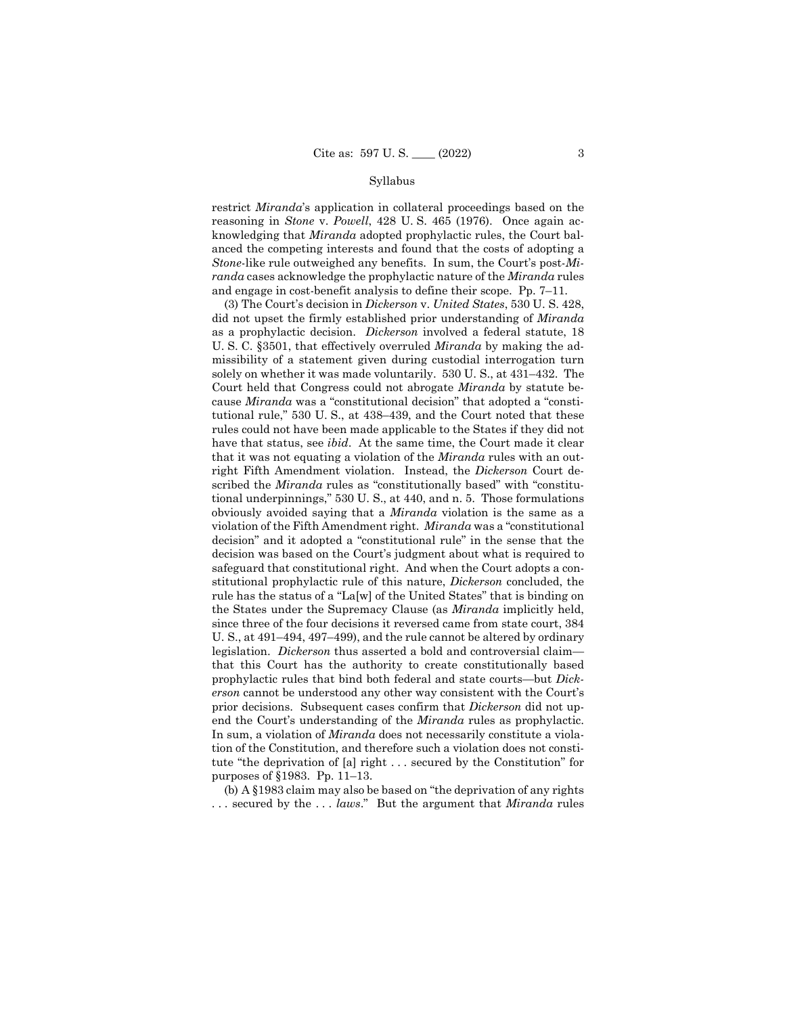and engage in cost-benefit analysis to define their scope. Pp. 7–11. restrict *Miranda*'s application in collateral proceedings based on the reasoning in *Stone* v. *Powell*, 428 U. S. 465 (1976). Once again acknowledging that *Miranda* adopted prophylactic rules, the Court balanced the competing interests and found that the costs of adopting a *Stone*-like rule outweighed any benefits. In sum, the Court's post-*Miranda* cases acknowledge the prophylactic nature of the *Miranda* rules

(3) The Court's decision in *Dickerson* v. *United States*, 530 U. S. 428, did not upset the firmly established prior understanding of *Miranda*  as a prophylactic decision. *Dickerson* involved a federal statute, 18 U. S. C. §3501, that effectively overruled *Miranda* by making the admissibility of a statement given during custodial interrogation turn solely on whether it was made voluntarily. 530 U. S., at 431–432. The Court held that Congress could not abrogate *Miranda* by statute because *Miranda* was a "constitutional decision" that adopted a "constitutional rule," 530 U. S., at 438–439, and the Court noted that these rules could not have been made applicable to the States if they did not have that status, see *ibid*. At the same time, the Court made it clear that it was not equating a violation of the *Miranda* rules with an outright Fifth Amendment violation. Instead, the *Dickerson* Court described the *Miranda* rules as "constitutionally based" with "constitutional underpinnings," 530 U. S., at 440, and n. 5. Those formulations obviously avoided saying that a *Miranda* violation is the same as a violation of the Fifth Amendment right. *Miranda* was a "constitutional decision" and it adopted a "constitutional rule" in the sense that the decision was based on the Court's judgment about what is required to safeguard that constitutional right. And when the Court adopts a constitutional prophylactic rule of this nature, *Dickerson* concluded, the rule has the status of a "La[w] of the United States" that is binding on the States under the Supremacy Clause (as *Miranda* implicitly held, since three of the four decisions it reversed came from state court, 384 U. S., at 491–494, 497–499), and the rule cannot be altered by ordinary legislation. *Dickerson* thus asserted a bold and controversial claim that this Court has the authority to create constitutionally based prophylactic rules that bind both federal and state courts—but *Dickerson* cannot be understood any other way consistent with the Court's prior decisions. Subsequent cases confirm that *Dickerson* did not upend the Court's understanding of the *Miranda* rules as prophylactic. In sum, a violation of *Miranda* does not necessarily constitute a violation of the Constitution, and therefore such a violation does not constitute "the deprivation of [a] right . . . secured by the Constitution" for purposes of §1983. Pp. 11–13.

(b) A §1983 claim may also be based on "the deprivation of any rights . . . secured by the . . . *laws*." But the argument that *Miranda* rules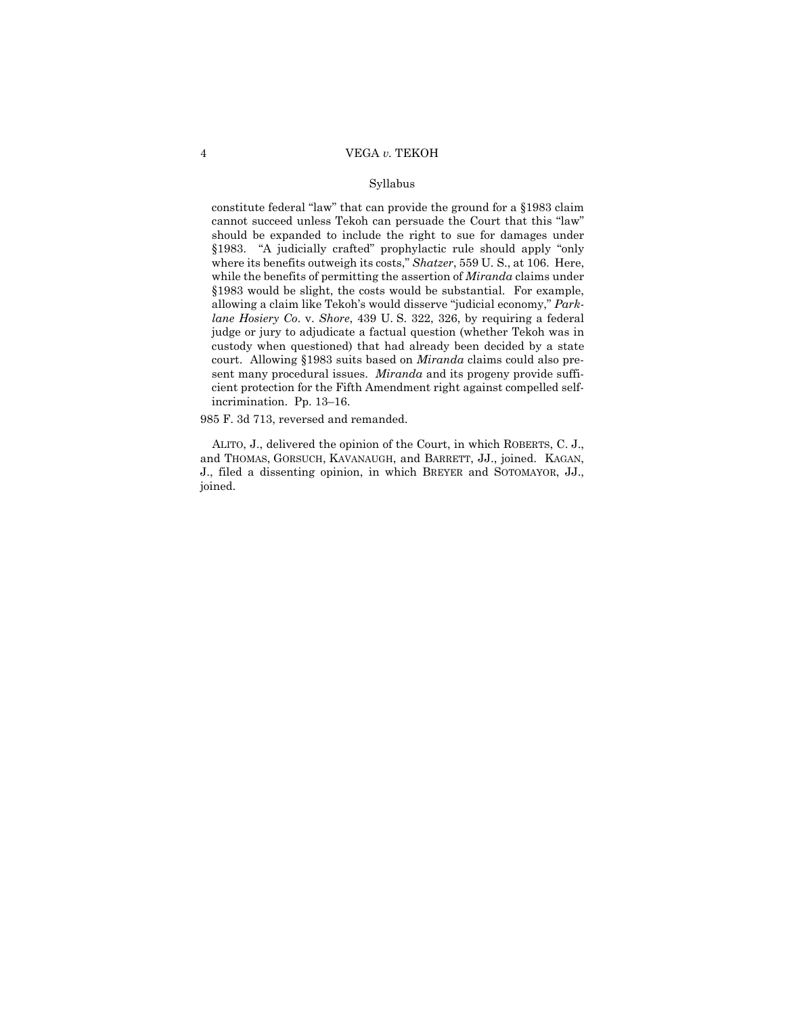constitute federal "law" that can provide the ground for a §1983 claim cannot succeed unless Tekoh can persuade the Court that this "law" should be expanded to include the right to sue for damages under §1983. "A judicially crafted" prophylactic rule should apply "only where its benefits outweigh its costs," *Shatzer*, 559 U. S., at 106. Here, while the benefits of permitting the assertion of *Miranda* claims under §1983 would be slight, the costs would be substantial. For example, allowing a claim like Tekoh's would disserve "judicial economy," *Parklane Hosiery Co*. v. *Shore*, 439 U. S. 322, 326, by requiring a federal judge or jury to adjudicate a factual question (whether Tekoh was in custody when questioned) that had already been decided by a state court. Allowing §1983 suits based on *Miranda* claims could also present many procedural issues. *Miranda* and its progeny provide sufficient protection for the Fifth Amendment right against compelled selfincrimination. Pp. 13–16.

985 F. 3d 713, reversed and remanded.

ALITO, J., delivered the opinion of the Court, in which ROBERTS, C. J., and THOMAS, GORSUCH, KAVANAUGH, and BARRETT, JJ., joined. KAGAN, J., filed a dissenting opinion, in which BREYER and SOTOMAYOR, JJ., joined.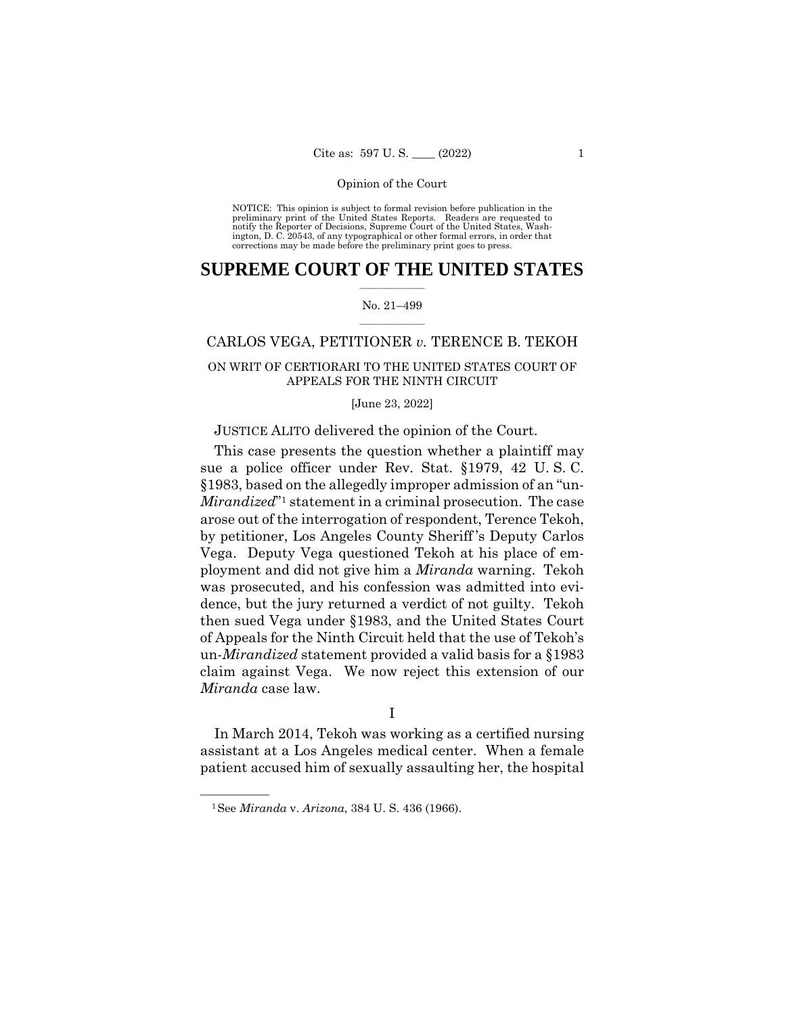NOTICE: This opinion is subject to formal revision before publication in the preliminary print of the United States Reports. Readers are requested to notify the Reporter of Decisions, Supreme Court of the United States, Wash-ington, D. C. 20543, of any typographical or other formal errors, in order that corrections may be made before the preliminary print goes to press.

# $\frac{1}{2}$  , where  $\frac{1}{2}$ **SUPREME COURT OF THE UNITED STATES**

## $\frac{1}{2}$  ,  $\frac{1}{2}$  ,  $\frac{1}{2}$  ,  $\frac{1}{2}$  ,  $\frac{1}{2}$  ,  $\frac{1}{2}$ No. 21–499

# CARLOS VEGA, PETITIONER *v.* TERENCE B. TEKOH

# ON WRIT OF CERTIORARI TO THE UNITED STATES COURT OF APPEALS FOR THE NINTH CIRCUIT

[June 23, 2022]

# JUSTICE ALITO delivered the opinion of the Court.

This case presents the question whether a plaintiff may sue a police officer under Rev. Stat. §1979, 42 U. S. C. §1983, based on the allegedly improper admission of an "un-*Mirandized*<sup>"1</sup> statement in a criminal prosecution. The case arose out of the interrogation of respondent, Terence Tekoh, by petitioner, Los Angeles County Sheriff 's Deputy Carlos Vega. Deputy Vega questioned Tekoh at his place of employment and did not give him a *Miranda* warning. Tekoh was prosecuted, and his confession was admitted into evidence, but the jury returned a verdict of not guilty. Tekoh then sued Vega under §1983, and the United States Court of Appeals for the Ninth Circuit held that the use of Tekoh's un-*Mirandized* statement provided a valid basis for a §1983 claim against Vega. We now reject this extension of our *Miranda* case law.

I

In March 2014, Tekoh was working as a certified nursing assistant at a Los Angeles medical center. When a female patient accused him of sexually assaulting her, the hospital

<sup>—————— 1</sup>See *Miranda* v. *Arizona*, 384 U. S. 436 (1966).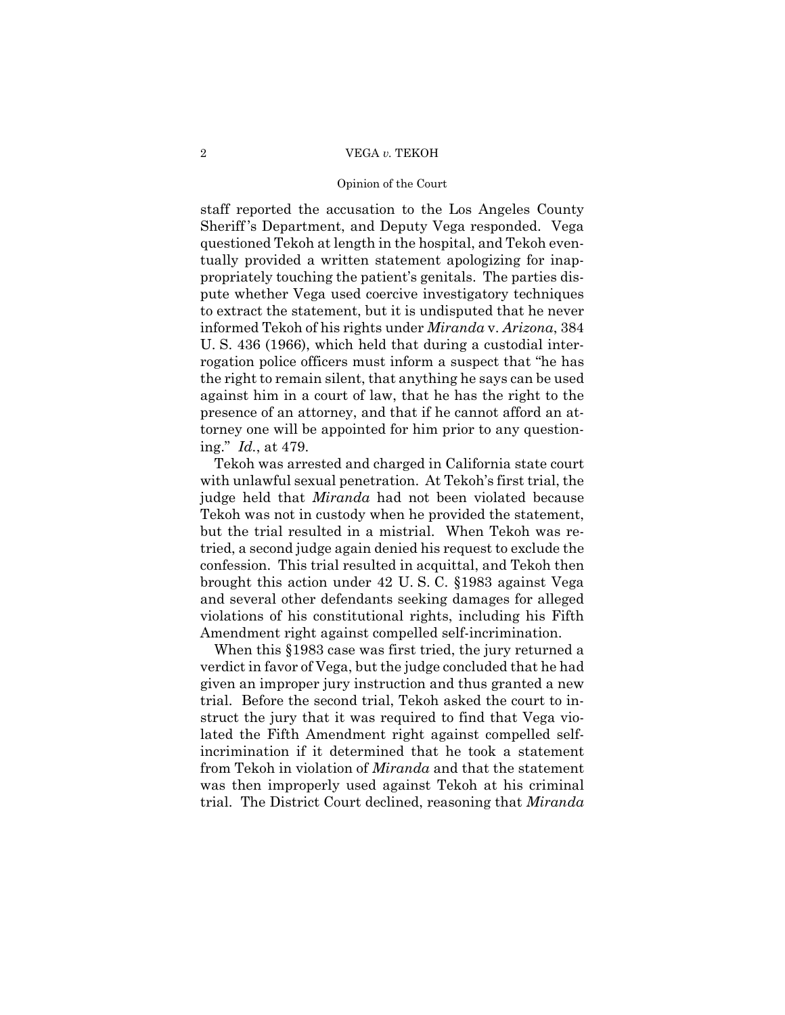# 2 VEGA *v.* TEKOH

## Opinion of the Court

staff reported the accusation to the Los Angeles County Sheriff 's Department, and Deputy Vega responded. Vega questioned Tekoh at length in the hospital, and Tekoh eventually provided a written statement apologizing for inappropriately touching the patient's genitals. The parties dispute whether Vega used coercive investigatory techniques to extract the statement, but it is undisputed that he never informed Tekoh of his rights under *Miranda* v. *Arizona*, 384 U. S. 436 (1966), which held that during a custodial interrogation police officers must inform a suspect that "he has the right to remain silent, that anything he says can be used against him in a court of law, that he has the right to the presence of an attorney, and that if he cannot afford an attorney one will be appointed for him prior to any questioning." *Id.*, at 479.

 confession. This trial resulted in acquittal, and Tekoh then Tekoh was arrested and charged in California state court with unlawful sexual penetration. At Tekoh's first trial, the judge held that *Miranda* had not been violated because Tekoh was not in custody when he provided the statement, but the trial resulted in a mistrial. When Tekoh was retried, a second judge again denied his request to exclude the brought this action under 42 U. S. C. §1983 against Vega and several other defendants seeking damages for alleged violations of his constitutional rights, including his Fifth Amendment right against compelled self-incrimination.

When this §1983 case was first tried, the jury returned a verdict in favor of Vega, but the judge concluded that he had given an improper jury instruction and thus granted a new trial. Before the second trial, Tekoh asked the court to instruct the jury that it was required to find that Vega violated the Fifth Amendment right against compelled selfincrimination if it determined that he took a statement from Tekoh in violation of *Miranda* and that the statement was then improperly used against Tekoh at his criminal trial. The District Court declined, reasoning that *Miranda*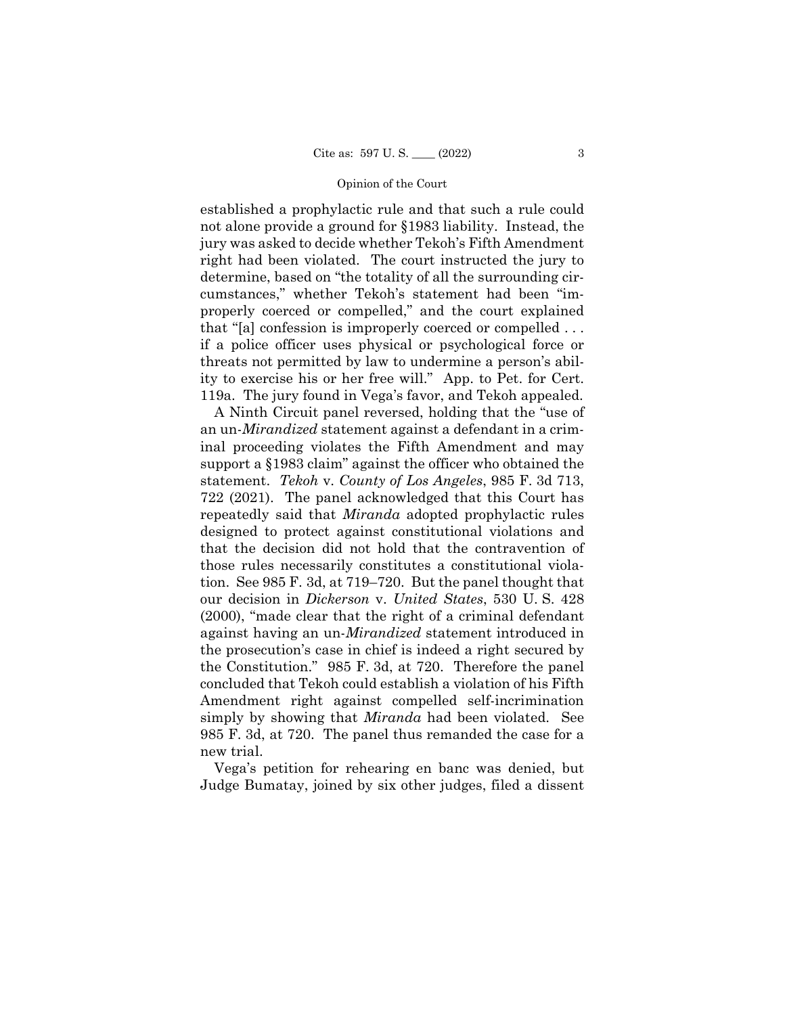established a prophylactic rule and that such a rule could not alone provide a ground for §1983 liability. Instead, the jury was asked to decide whether Tekoh's Fifth Amendment right had been violated. The court instructed the jury to determine, based on "the totality of all the surrounding circumstances," whether Tekoh's statement had been "improperly coerced or compelled," and the court explained that "[a] confession is improperly coerced or compelled . . . if a police officer uses physical or psychological force or threats not permitted by law to undermine a person's ability to exercise his or her free will." App. to Pet. for Cert. 119a. The jury found in Vega's favor, and Tekoh appealed.

A Ninth Circuit panel reversed, holding that the "use of an un-*Mirandized* statement against a defendant in a criminal proceeding violates the Fifth Amendment and may support a §1983 claim" against the officer who obtained the statement. *Tekoh* v. *County of Los Angeles*, 985 F. 3d 713, 722 (2021). The panel acknowledged that this Court has repeatedly said that *Miranda* adopted prophylactic rules designed to protect against constitutional violations and that the decision did not hold that the contravention of those rules necessarily constitutes a constitutional violation. See 985 F. 3d, at 719–720. But the panel thought that our decision in *Dickerson* v. *United States*, 530 U. S. 428 (2000), "made clear that the right of a criminal defendant against having an un-*Mirandized* statement introduced in the prosecution's case in chief is indeed a right secured by the Constitution." 985 F. 3d, at 720. Therefore the panel concluded that Tekoh could establish a violation of his Fifth Amendment right against compelled self-incrimination simply by showing that *Miranda* had been violated. See 985 F. 3d, at 720. The panel thus remanded the case for a new trial.

Vega's petition for rehearing en banc was denied, but Judge Bumatay, joined by six other judges, filed a dissent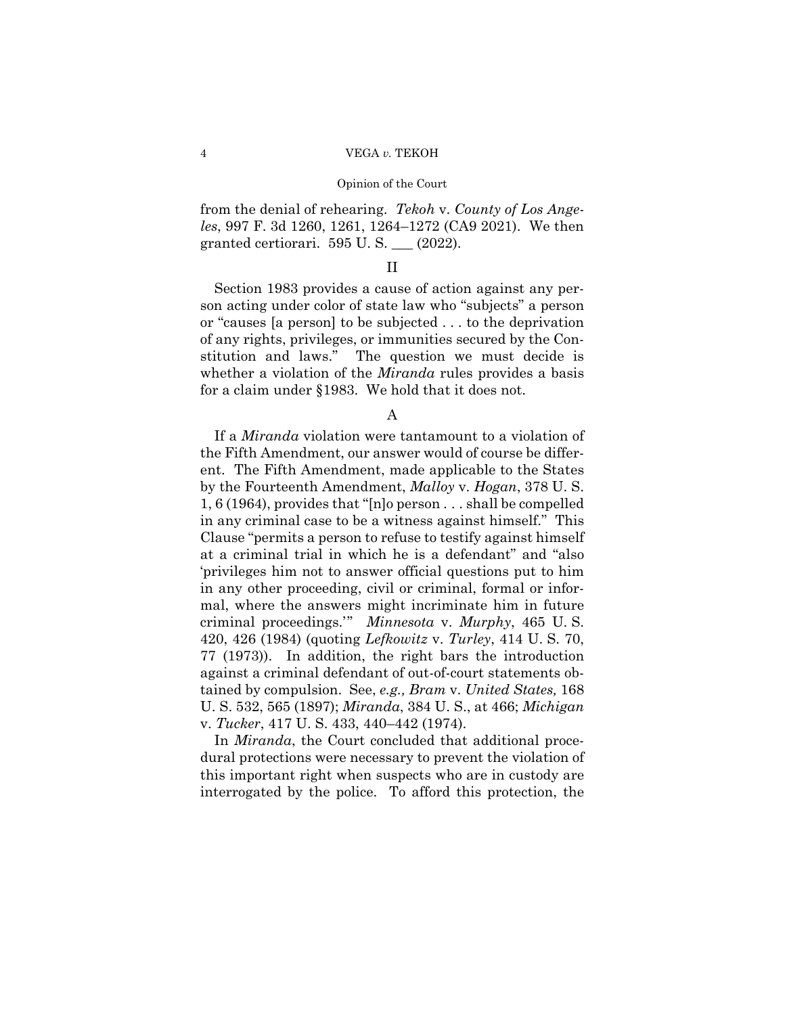from the denial of rehearing. *Tekoh* v. *County of Los Angeles*, 997 F. 3d 1260, 1261, 1264–1272 (CA9 2021). We then granted certiorari. 595 U. S. \_\_\_ (2022).

# II

Section 1983 provides a cause of action against any person acting under color of state law who "subjects" a person or "causes [a person] to be subjected . . . to the deprivation of any rights, privileges, or immunities secured by the Constitution and laws." The question we must decide is whether a violation of the *Miranda* rules provides a basis for a claim under §1983. We hold that it does not.

# A

 If a *Miranda* violation were tantamount to a violation of the Fifth Amendment, our answer would of course be different. The Fifth Amendment, made applicable to the States by the Fourteenth Amendment, *Malloy* v. *Hogan*, 378 U. S. 1, 6 (1964), provides that "[n]o person . . . shall be compelled in any criminal case to be a witness against himself." This Clause "permits a person to refuse to testify against himself at a criminal trial in which he is a defendant" and "also 'privileges him not to answer official questions put to him in any other proceeding, civil or criminal, formal or informal, where the answers might incriminate him in future criminal proceedings.'" *Minnesota* v. *Murphy*, 465 U. S. 420, 426 (1984) (quoting *Lefkowitz* v. *Turley*, 414 U. S. 70, 77 (1973)). In addition, the right bars the introduction against a criminal defendant of out-of-court statements obtained by compulsion. See, *e.g., Bram* v. *United States,* 168 U. S. 532, 565 (1897); *Miranda*, 384 U. S., at 466; *Michigan*  v. *Tucker*, 417 U. S. 433, 440–442 (1974).

In *Miranda*, the Court concluded that additional procedural protections were necessary to prevent the violation of this important right when suspects who are in custody are interrogated by the police. To afford this protection, the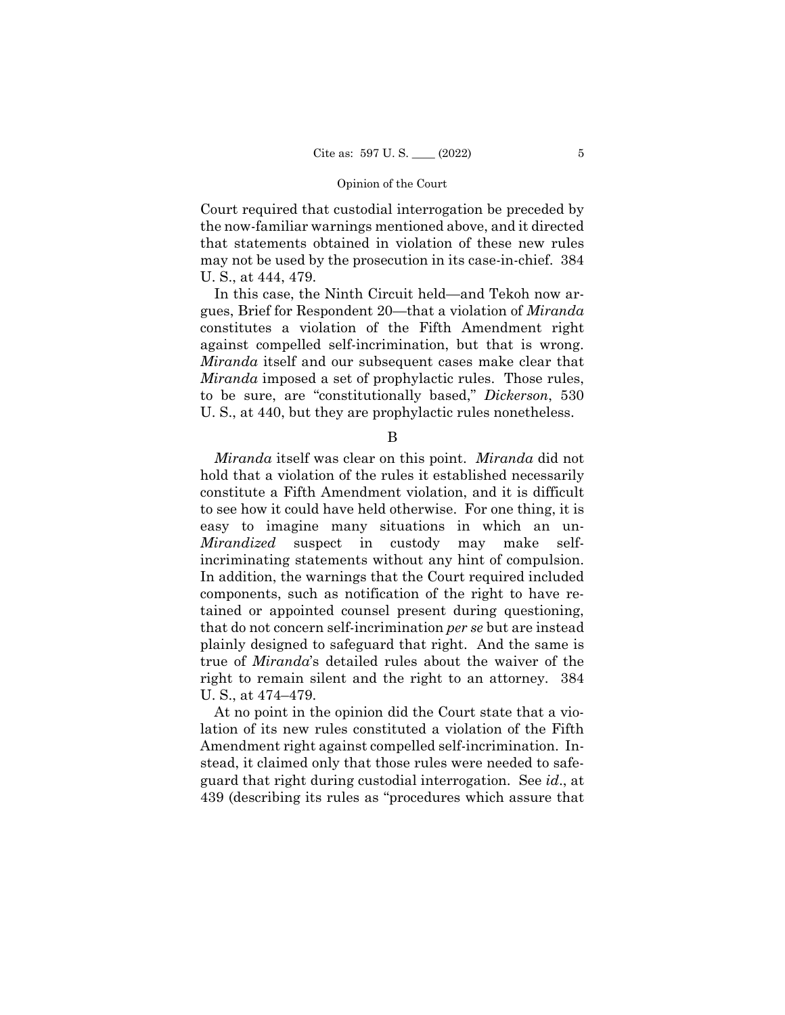Court required that custodial interrogation be preceded by the now-familiar warnings mentioned above, and it directed that statements obtained in violation of these new rules may not be used by the prosecution in its case-in-chief. 384 U. S., at 444, 479.

In this case, the Ninth Circuit held—and Tekoh now argues, Brief for Respondent 20—that a violation of *Miranda*  constitutes a violation of the Fifth Amendment right against compelled self-incrimination, but that is wrong. *Miranda* itself and our subsequent cases make clear that *Miranda* imposed a set of prophylactic rules. Those rules, to be sure, are "constitutionally based," *Dickerson*, 530 U. S., at 440, but they are prophylactic rules nonetheless.

B

*Miranda* itself was clear on this point. *Miranda* did not hold that a violation of the rules it established necessarily constitute a Fifth Amendment violation, and it is difficult to see how it could have held otherwise. For one thing, it is easy to imagine many situations in which an un-*Mirandized* suspect in custody may make selfincriminating statements without any hint of compulsion. In addition, the warnings that the Court required included components, such as notification of the right to have retained or appointed counsel present during questioning, that do not concern self-incrimination *per se* but are instead plainly designed to safeguard that right. And the same is true of *Miranda*'s detailed rules about the waiver of the right to remain silent and the right to an attorney. 384 U. S., at 474–479.

At no point in the opinion did the Court state that a violation of its new rules constituted a violation of the Fifth Amendment right against compelled self-incrimination. Instead, it claimed only that those rules were needed to safeguard that right during custodial interrogation. See *id*., at 439 (describing its rules as "procedures which assure that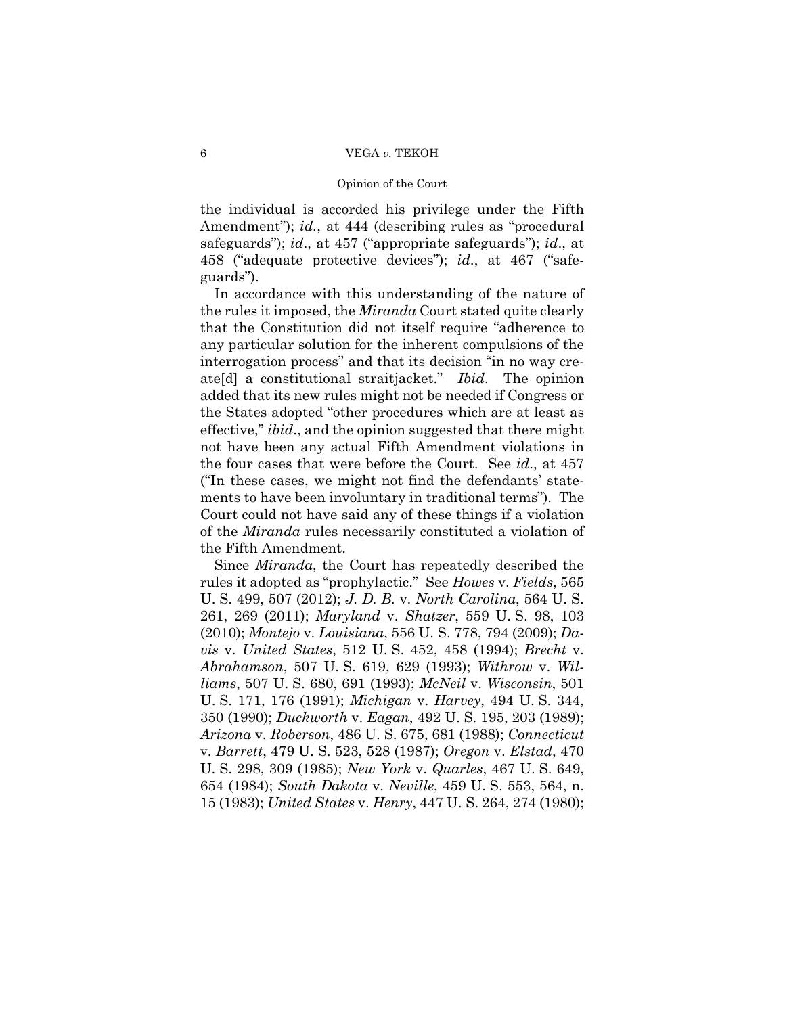# 6 VEGA *v.* TEKOH

### Opinion of the Court

the individual is accorded his privilege under the Fifth Amendment"); *id.*, at 444 (describing rules as "procedural safeguards"); *id*., at 457 ("appropriate safeguards"); *id*., at 458 ("adequate protective devices"); *id*., at 467 ("safeguards").

In accordance with this understanding of the nature of the rules it imposed, the *Miranda* Court stated quite clearly that the Constitution did not itself require "adherence to any particular solution for the inherent compulsions of the interrogation process" and that its decision "in no way create[d] a constitutional straitjacket." *Ibid*. The opinion added that its new rules might not be needed if Congress or the States adopted "other procedures which are at least as effective," *ibid*., and the opinion suggested that there might not have been any actual Fifth Amendment violations in the four cases that were before the Court. See *id*., at 457 ("In these cases, we might not find the defendants' statements to have been involuntary in traditional terms"). The Court could not have said any of these things if a violation of the *Miranda* rules necessarily constituted a violation of the Fifth Amendment.

Since *Miranda*, the Court has repeatedly described the rules it adopted as "prophylactic." See *Howes* v. *Fields*, 565 U. S. 499, 507 (2012); *J. D. B.* v. *North Carolina*, 564 U. S. 261, 269 (2011); *Maryland* v. *Shatzer*, 559 U. S. 98, 103 (2010); *Montejo* v. *Louisiana*, 556 U. S. 778, 794 (2009); *Davis* v. *United States*, 512 U. S. 452, 458 (1994); *Brecht* v. *Abrahamson*, 507 U. S. 619, 629 (1993); *Withrow* v. *Williams*, 507 U. S. 680, 691 (1993); *McNeil* v. *Wisconsin*, 501 U. S. 171, 176 (1991); *Michigan* v. *Harvey*, 494 U. S. 344, 350 (1990); *Duckworth* v. *Eagan*, 492 U. S. 195, 203 (1989); *Arizona* v. *Roberson*, 486 U. S. 675, 681 (1988); *Connecticut*  v. *Barrett*, 479 U. S. 523, 528 (1987); *Oregon* v. *Elstad*, 470 U. S. 298, 309 (1985); *New York* v. *Quarles*, 467 U. S. 649, 654 (1984); *South Dakota* v. *Neville*, 459 U. S. 553, 564, n. 15 (1983); *United States* v. *Henry*, 447 U. S. 264, 274 (1980);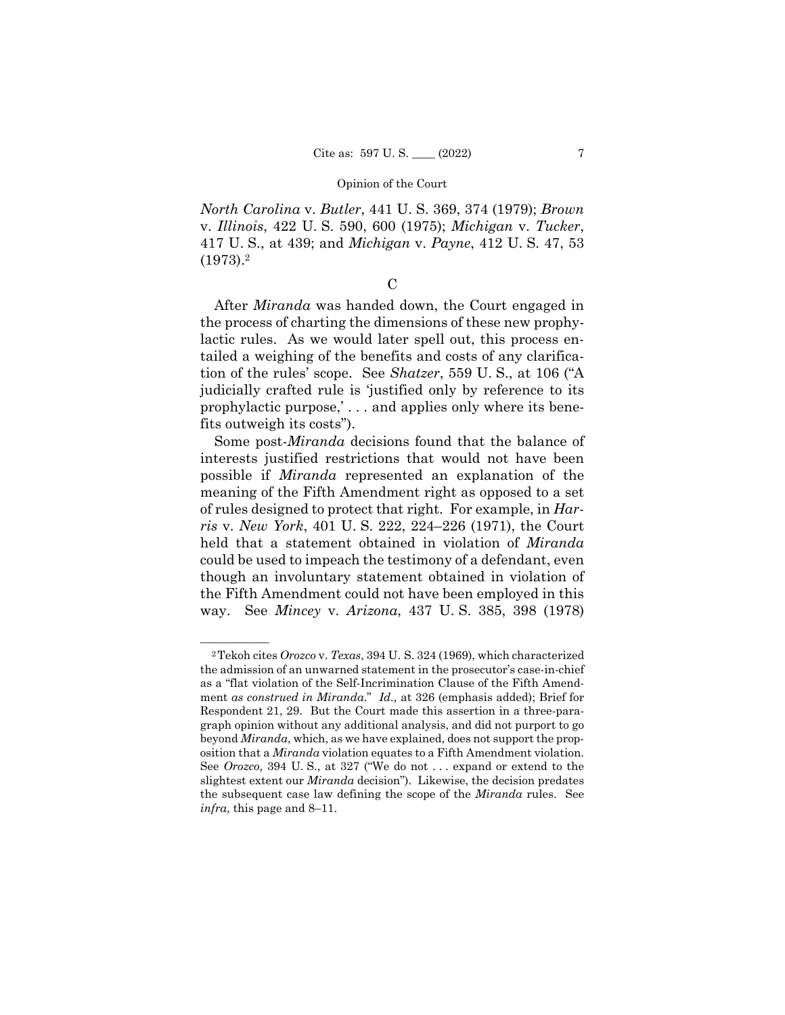*North Carolina* v. *Butler*, 441 U. S. 369, 374 (1979); *Brown*  v. *Illinois*, 422 U. S. 590, 600 (1975); *Michigan* v. *Tucker*, 417 U. S., at 439; and *Michigan* v. *Payne*, 412 U. S. 47, 53 (1973).2

# $\overline{C}$

After *Miranda* was handed down, the Court engaged in the process of charting the dimensions of these new prophylactic rules. As we would later spell out, this process entailed a weighing of the benefits and costs of any clarification of the rules' scope. See *Shatzer*, 559 U. S., at 106 ("A judicially crafted rule is 'justified only by reference to its prophylactic purpose,' . . . and applies only where its benefits outweigh its costs").

 Some post-*Miranda* decisions found that the balance of interests justified restrictions that would not have been possible if *Miranda* represented an explanation of the meaning of the Fifth Amendment right as opposed to a set of rules designed to protect that right. For example, in *Harris* v. *New York*, 401 U. S. 222, 224–226 (1971), the Court held that a statement obtained in violation of *Miranda*  could be used to impeach the testimony of a defendant, even though an involuntary statement obtained in violation of the Fifth Amendment could not have been employed in this way. See *Mincey* v. *Arizona*, 437 U. S. 385, 398 (1978)

<sup>&</sup>lt;sup>2</sup>Tekoh cites *Orozco* v. *Texas*, 394 U. S. 324 (1969), which characterized the admission of an unwarned statement in the prosecutor's case-in-chief as a "flat violation of the Self-Incrimination Clause of the Fifth Amendment *as construed in Miranda*." *Id.,* at 326 (emphasis added); Brief for Respondent 21, 29. But the Court made this assertion in a three-paragraph opinion without any additional analysis, and did not purport to go beyond *Miranda*, which, as we have explained, does not support the proposition that a *Miranda* violation equates to a Fifth Amendment violation. See *Orozco,* 394 U. S., at 327 ("We do not . . . expand or extend to the slightest extent our *Miranda* decision"). Likewise, the decision predates the subsequent case law defining the scope of the *Miranda* rules. See *infra*, this page and 8–11.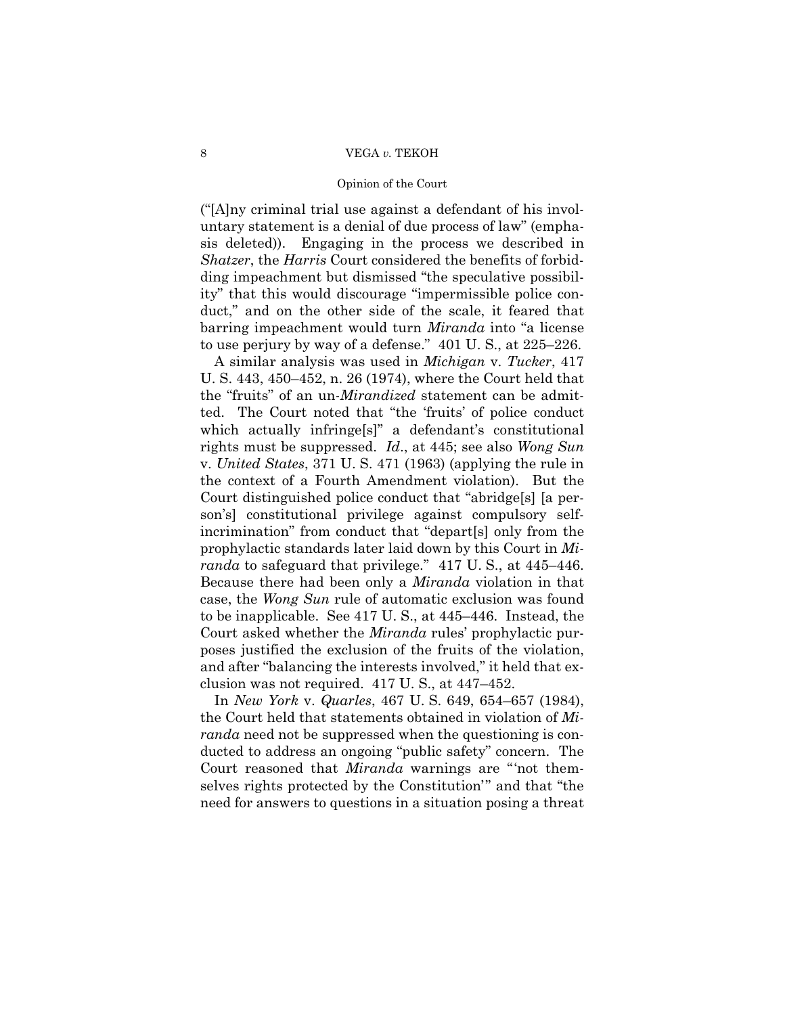# 8 VEGA *v.* TEKOH

### Opinion of the Court

("[A]ny criminal trial use against a defendant of his involuntary statement is a denial of due process of law" (emphasis deleted)). Engaging in the process we described in *Shatzer*, the *Harris* Court considered the benefits of forbidding impeachment but dismissed "the speculative possibility" that this would discourage "impermissible police conduct," and on the other side of the scale, it feared that barring impeachment would turn *Miranda* into "a license to use perjury by way of a defense." 401 U. S., at 225–226.

 to be inapplicable. See 417 U. S., at 445–446. Instead, the A similar analysis was used in *Michigan* v. *Tucker*, 417 U. S. 443, 450–452, n. 26 (1974), where the Court held that the "fruits" of an un-*Mirandized* statement can be admitted. The Court noted that "the 'fruits' of police conduct which actually infringe[s]" a defendant's constitutional rights must be suppressed. *Id*., at 445; see also *Wong Sun*  v. *United States*, 371 U. S. 471 (1963) (applying the rule in the context of a Fourth Amendment violation). But the Court distinguished police conduct that "abridge[s] [a person's] constitutional privilege against compulsory selfincrimination" from conduct that "depart[s] only from the prophylactic standards later laid down by this Court in *Miranda* to safeguard that privilege." 417 U. S., at 445–446. Because there had been only a *Miranda* violation in that case, the *Wong Sun* rule of automatic exclusion was found Court asked whether the *Miranda* rules' prophylactic purposes justified the exclusion of the fruits of the violation, and after "balancing the interests involved," it held that exclusion was not required. 417 U. S., at 447–452.

In *New York* v. *Quarles*, 467 U. S. 649, 654–657 (1984), the Court held that statements obtained in violation of *Miranda* need not be suppressed when the questioning is conducted to address an ongoing "public safety" concern. The Court reasoned that *Miranda* warnings are "'not themselves rights protected by the Constitution'" and that "the need for answers to questions in a situation posing a threat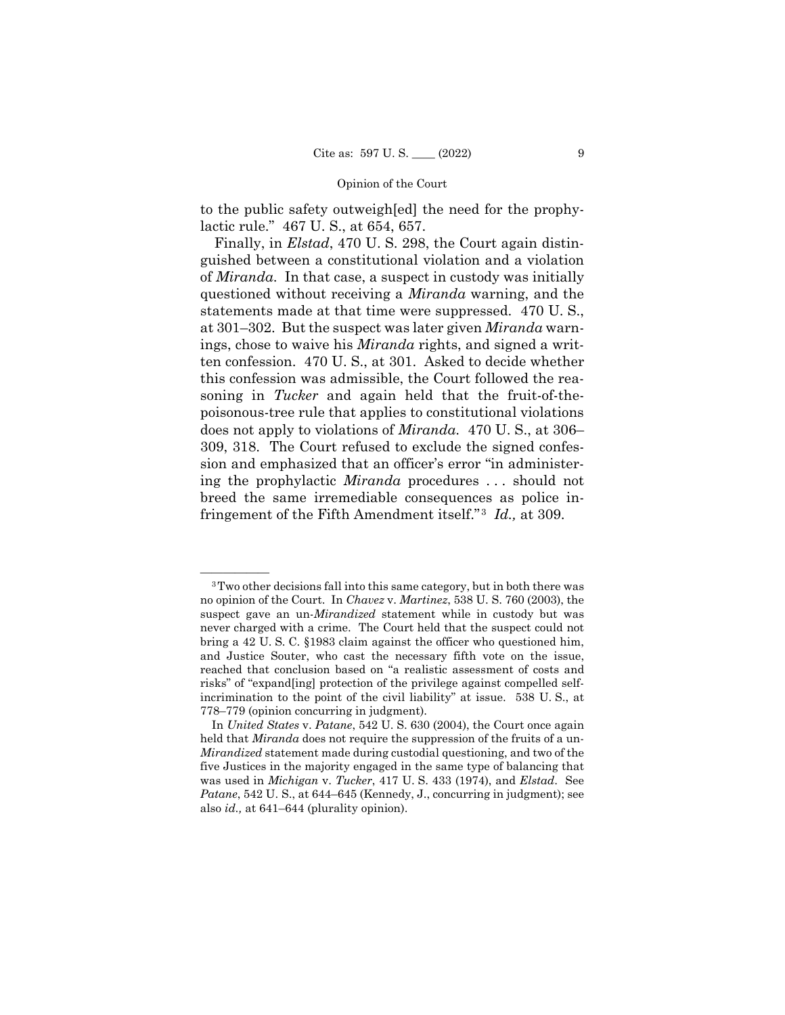to the public safety outweigh[ed] the need for the prophylactic rule." 467 U. S., at 654, 657.

 fringement of the Fifth Amendment itself." <sup>3</sup>*Id.,* at 309. Finally, in *Elstad*, 470 U. S. 298, the Court again distinguished between a constitutional violation and a violation of *Miranda*. In that case, a suspect in custody was initially questioned without receiving a *Miranda* warning, and the statements made at that time were suppressed. 470 U. S., at 301–302. But the suspect was later given *Miranda* warnings, chose to waive his *Miranda* rights, and signed a written confession. 470 U. S., at 301. Asked to decide whether this confession was admissible, the Court followed the reasoning in *Tucker* and again held that the fruit-of-thepoisonous-tree rule that applies to constitutional violations does not apply to violations of *Miranda*. 470 U. S., at 306– 309, 318. The Court refused to exclude the signed confession and emphasized that an officer's error "in administering the prophylactic *Miranda* procedures . . . should not breed the same irremediable consequences as police in-

<sup>&</sup>lt;sup>3</sup>Two other decisions fall into this same category, but in both there was no opinion of the Court. In *Chavez* v. *Martinez*, 538 U. S. 760 (2003), the suspect gave an un-*Mirandized* statement while in custody but was never charged with a crime. The Court held that the suspect could not bring a 42 U. S. C. §1983 claim against the officer who questioned him, and Justice Souter, who cast the necessary fifth vote on the issue, reached that conclusion based on "a realistic assessment of costs and risks" of "expand[ing] protection of the privilege against compelled selfincrimination to the point of the civil liability" at issue. 538 U. S., at 778–779 (opinion concurring in judgment).

In *United States* v. *Patane*, 542 U. S. 630 (2004), the Court once again held that *Miranda* does not require the suppression of the fruits of a un-*Mirandized* statement made during custodial questioning, and two of the five Justices in the majority engaged in the same type of balancing that was used in *Michigan* v. *Tucker*, 417 U. S. 433 (1974), and *Elstad*. See *Patane*, 542 U. S., at 644–645 (Kennedy, J., concurring in judgment); see also *id.,* at 641–644 (plurality opinion).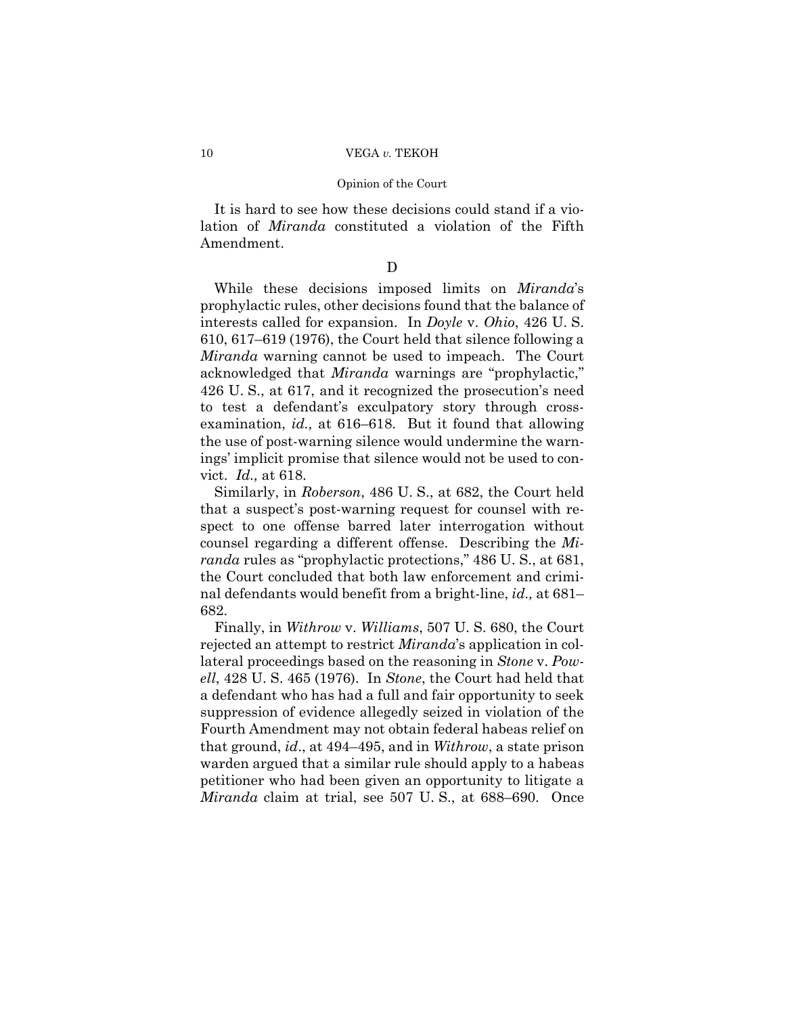It is hard to see how these decisions could stand if a violation of *Miranda* constituted a violation of the Fifth Amendment.

D

While these decisions imposed limits on *Miranda*'s prophylactic rules, other decisions found that the balance of interests called for expansion. In *Doyle* v. *Ohio*, 426 U. S. 610, 617–619 (1976), the Court held that silence following a *Miranda* warning cannot be used to impeach. The Court acknowledged that *Miranda* warnings are "prophylactic," 426 U. S., at 617, and it recognized the prosecution's need to test a defendant's exculpatory story through crossexamination, *id.,* at 616–618. But it found that allowing the use of post-warning silence would undermine the warnings' implicit promise that silence would not be used to convict. *Id.,* at 618.

 Similarly, in *Roberson*, 486 U. S., at 682, the Court held that a suspect's post-warning request for counsel with respect to one offense barred later interrogation without counsel regarding a different offense. Describing the *Miranda* rules as "prophylactic protections," 486 U. S., at 681, the Court concluded that both law enforcement and criminal defendants would benefit from a bright-line, *id.,* at 681– 682.

 Finally, in *Withrow* v. *Williams*, 507 U. S. 680, the Court rejected an attempt to restrict *Miranda*'s application in collateral proceedings based on the reasoning in *Stone* v. *Powell*, 428 U. S. 465 (1976). In *Stone*, the Court had held that a defendant who has had a full and fair opportunity to seek suppression of evidence allegedly seized in violation of the Fourth Amendment may not obtain federal habeas relief on that ground, *id*., at 494–495, and in *Withrow*, a state prison warden argued that a similar rule should apply to a habeas petitioner who had been given an opportunity to litigate a *Miranda* claim at trial, see 507 U. S., at 688–690. Once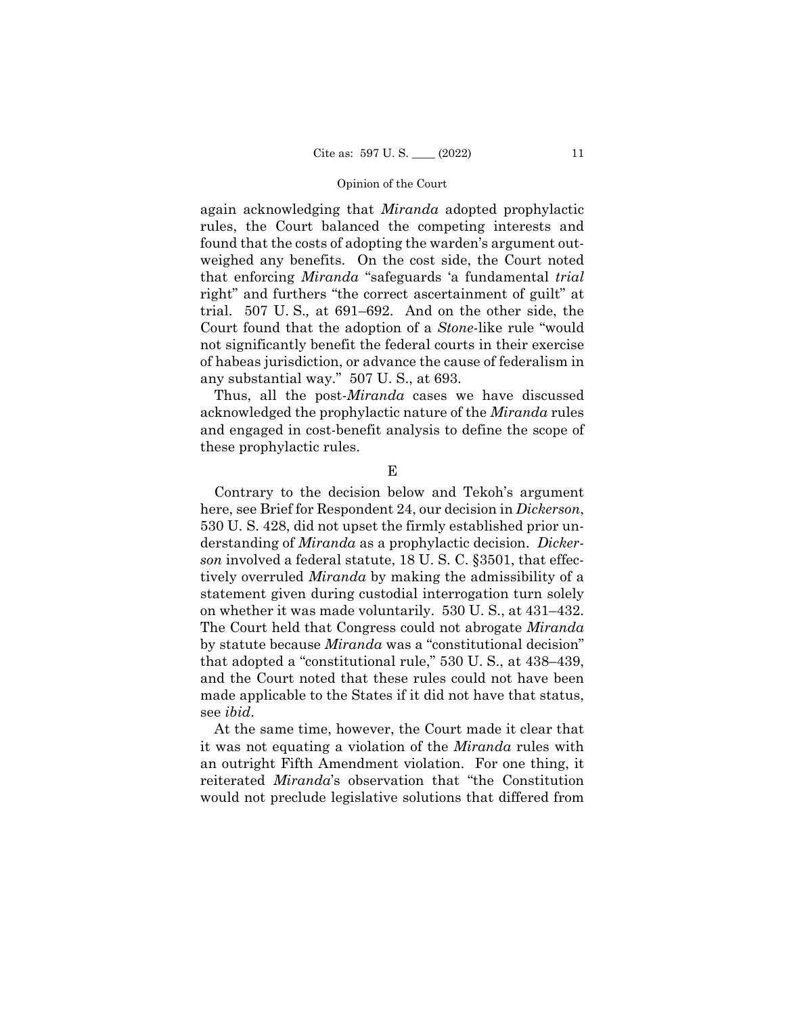again acknowledging that *Miranda* adopted prophylactic rules, the Court balanced the competing interests and found that the costs of adopting the warden's argument outweighed any benefits. On the cost side, the Court noted that enforcing *Miranda* "safeguards 'a fundamental *trial*  right" and furthers "the correct ascertainment of guilt" at trial. 507 U. S.*,* at 691–692. And on the other side, the Court found that the adoption of a *Stone*-like rule "would not significantly benefit the federal courts in their exercise of habeas jurisdiction, or advance the cause of federalism in any substantial way." 507 U. S., at 693.

Thus, all the post-*Miranda* cases we have discussed acknowledged the prophylactic nature of the *Miranda* rules and engaged in cost-benefit analysis to define the scope of these prophylactic rules.

E

 530 U. S. 428, did not upset the firmly established prior un-Contrary to the decision below and Tekoh's argument here, see Brief for Respondent 24, our decision in *Dickerson*, derstanding of *Miranda* as a prophylactic decision. *Dickerson* involved a federal statute, 18 U. S. C. §3501, that effectively overruled *Miranda* by making the admissibility of a statement given during custodial interrogation turn solely on whether it was made voluntarily. 530 U. S., at 431–432. The Court held that Congress could not abrogate *Miranda*  by statute because *Miranda* was a "constitutional decision" that adopted a "constitutional rule," 530 U. S., at 438–439, and the Court noted that these rules could not have been made applicable to the States if it did not have that status, see *ibid*.

At the same time, however, the Court made it clear that it was not equating a violation of the *Miranda* rules with an outright Fifth Amendment violation. For one thing, it reiterated *Miranda*'s observation that "the Constitution would not preclude legislative solutions that differed from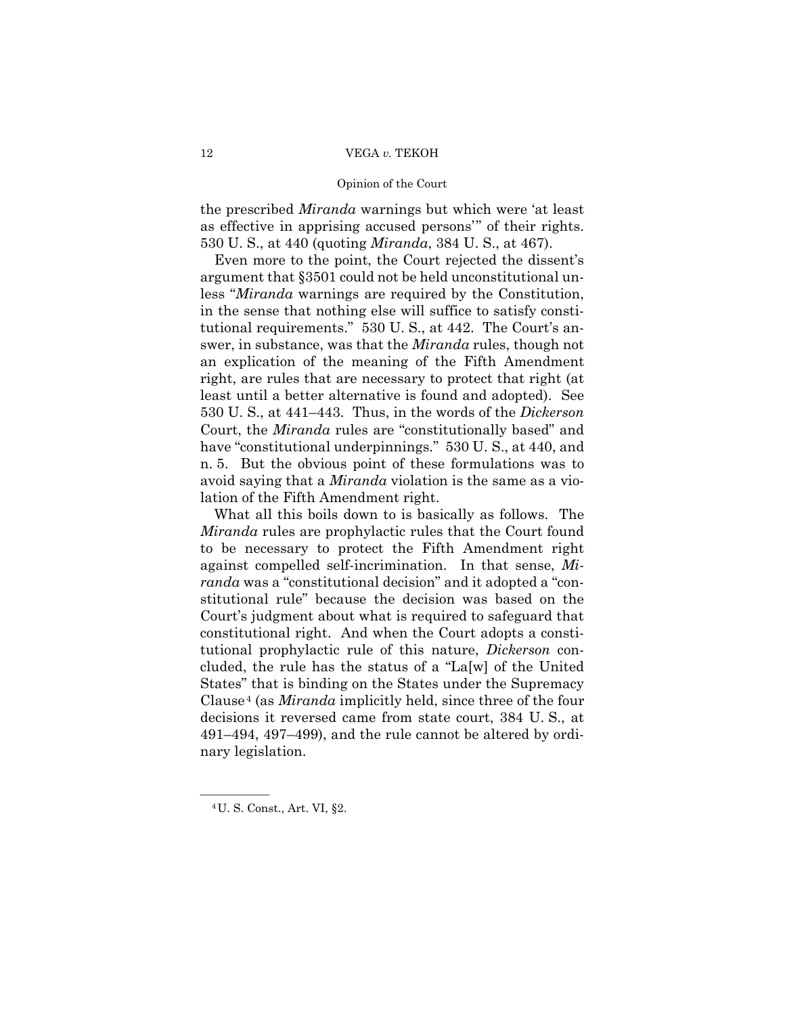# 12 VEGA *v.* TEKOH

### Opinion of the Court

the prescribed *Miranda* warnings but which were 'at least as effective in apprising accused persons'" of their rights. 530 U. S., at 440 (quoting *Miranda*, 384 U. S., at 467).

Even more to the point, the Court rejected the dissent's argument that §3501 could not be held unconstitutional unless "*Miranda* warnings are required by the Constitution, in the sense that nothing else will suffice to satisfy constitutional requirements." 530 U. S., at 442. The Court's answer, in substance, was that the *Miranda* rules, though not an explication of the meaning of the Fifth Amendment right, are rules that are necessary to protect that right (at least until a better alternative is found and adopted). See 530 U. S., at 441–443. Thus, in the words of the *Dickerson*  Court, the *Miranda* rules are "constitutionally based" and have "constitutional underpinnings." 530 U.S., at 440, and n. 5. But the obvious point of these formulations was to avoid saying that a *Miranda* violation is the same as a violation of the Fifth Amendment right.

What all this boils down to is basically as follows. The *Miranda* rules are prophylactic rules that the Court found to be necessary to protect the Fifth Amendment right against compelled self-incrimination. In that sense, *Miranda* was a "constitutional decision" and it adopted a "constitutional rule" because the decision was based on the Court's judgment about what is required to safeguard that constitutional right. And when the Court adopts a constitutional prophylactic rule of this nature, *Dickerson* concluded, the rule has the status of a "La[w] of the United States" that is binding on the States under the Supremacy Clause 4 (as *Miranda* implicitly held, since three of the four decisions it reversed came from state court, 384 U. S., at 491–494, 497–499), and the rule cannot be altered by ordinary legislation.

<sup>&</sup>lt;sup>4</sup> U. S. Const., Art. VI, §2.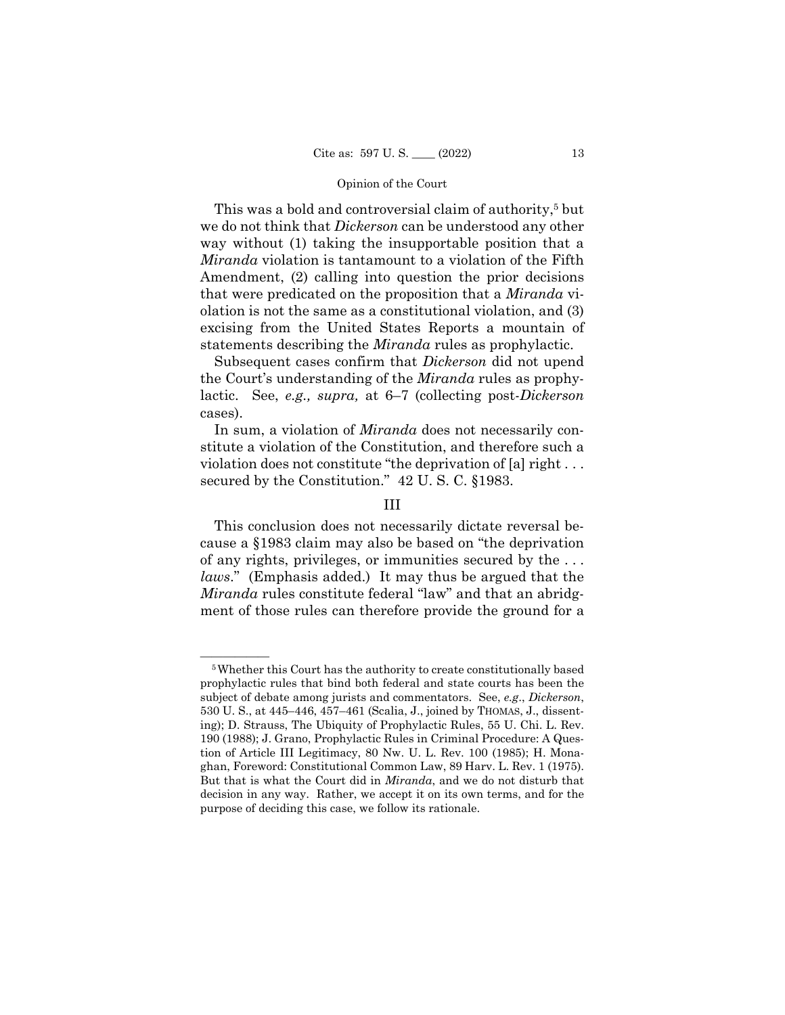This was a bold and controversial claim of authority,<sup>5</sup> but we do not think that *Dickerson* can be understood any other way without (1) taking the insupportable position that a *Miranda* violation is tantamount to a violation of the Fifth Amendment, (2) calling into question the prior decisions that were predicated on the proposition that a *Miranda* violation is not the same as a constitutional violation, and (3) excising from the United States Reports a mountain of statements describing the *Miranda* rules as prophylactic.

Subsequent cases confirm that *Dickerson* did not upend the Court's understanding of the *Miranda* rules as prophylactic. See, *e.g., supra,* at 6–7 (collecting post-*Dickerson*  cases).

In sum, a violation of *Miranda* does not necessarily constitute a violation of the Constitution, and therefore such a violation does not constitute "the deprivation of [a] right . . . secured by the Constitution." 42 U. S. C. §1983.

# III

This conclusion does not necessarily dictate reversal because a §1983 claim may also be based on "the deprivation of any rights, privileges, or immunities secured by the . . . *laws*." (Emphasis added.) It may thus be argued that the *Miranda* rules constitute federal "law" and that an abridgment of those rules can therefore provide the ground for a

<sup>&</sup>lt;sup>5</sup>Whether this Court has the authority to create constitutionally based prophylactic rules that bind both federal and state courts has been the subject of debate among jurists and commentators. See, *e.g*., *Dickerson*, 530 U. S., at 445–446, 457–461 (Scalia, J., joined by THOMAS, J., dissenting); D. Strauss, The Ubiquity of Prophylactic Rules, 55 U. Chi. L. Rev. 190 (1988); J. Grano, Prophylactic Rules in Criminal Procedure: A Question of Article III Legitimacy, 80 Nw. U. L. Rev. 100 (1985); H. Monaghan, Foreword: Constitutional Common Law, 89 Harv. L. Rev. 1 (1975). But that is what the Court did in *Miranda*, and we do not disturb that decision in any way. Rather, we accept it on its own terms, and for the purpose of deciding this case, we follow its rationale.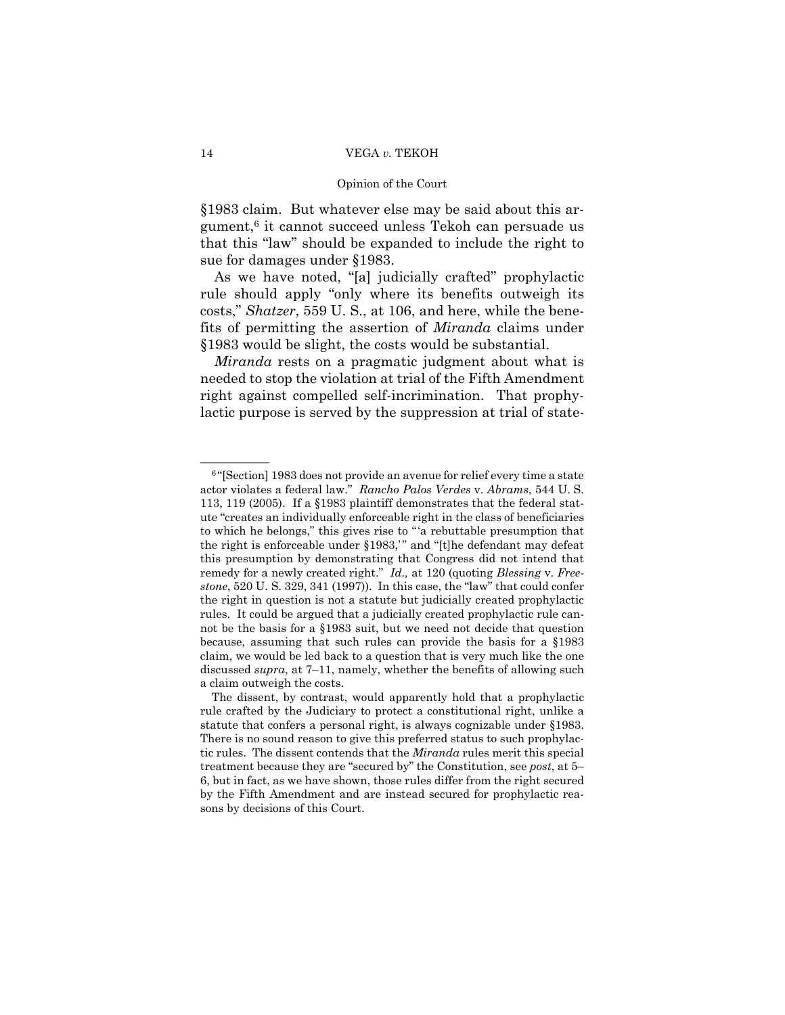§1983 claim. But whatever else may be said about this argument,6 it cannot succeed unless Tekoh can persuade us that this "law" should be expanded to include the right to sue for damages under §1983.

As we have noted, "[a] judicially crafted" prophylactic rule should apply "only where its benefits outweigh its costs," *Shatzer*, 559 U. S., at 106, and here, while the benefits of permitting the assertion of *Miranda* claims under §1983 would be slight, the costs would be substantial.

*Miranda* rests on a pragmatic judgment about what is needed to stop the violation at trial of the Fifth Amendment right against compelled self-incrimination. That prophylactic purpose is served by the suppression at trial of state-

 $\overline{\hspace{1cm}}$  6 "[Section] 1983 does not provide an avenue for relief every time a state actor violates a federal law." *Rancho Palos Verdes* v. *Abrams*, 544 U. S. remedy for a newly created right." *Id.,* at 120 (quoting *Blessing* v. *Free-*113, 119 (2005). If a §1983 plaintiff demonstrates that the federal statute "creates an individually enforceable right in the class of beneficiaries to which he belongs," this gives rise to " 'a rebuttable presumption that the right is enforceable under §1983," and "[t]he defendant may defeat this presumption by demonstrating that Congress did not intend that *stone*, 520 U. S. 329, 341 (1997)). In this case, the "law" that could confer the right in question is not a statute but judicially created prophylactic rules. It could be argued that a judicially created prophylactic rule cannot be the basis for a §1983 suit, but we need not decide that question because, assuming that such rules can provide the basis for a §1983 claim, we would be led back to a question that is very much like the one discussed *supra*, at 7–11, namely, whether the benefits of allowing such a claim outweigh the costs.

The dissent, by contrast, would apparently hold that a prophylactic rule crafted by the Judiciary to protect a constitutional right, unlike a statute that confers a personal right, is always cognizable under §1983. There is no sound reason to give this preferred status to such prophylactic rules. The dissent contends that the *Miranda* rules merit this special treatment because they are "secured by" the Constitution, see *post*, at 5– 6, but in fact, as we have shown, those rules differ from the right secured by the Fifth Amendment and are instead secured for prophylactic reasons by decisions of this Court.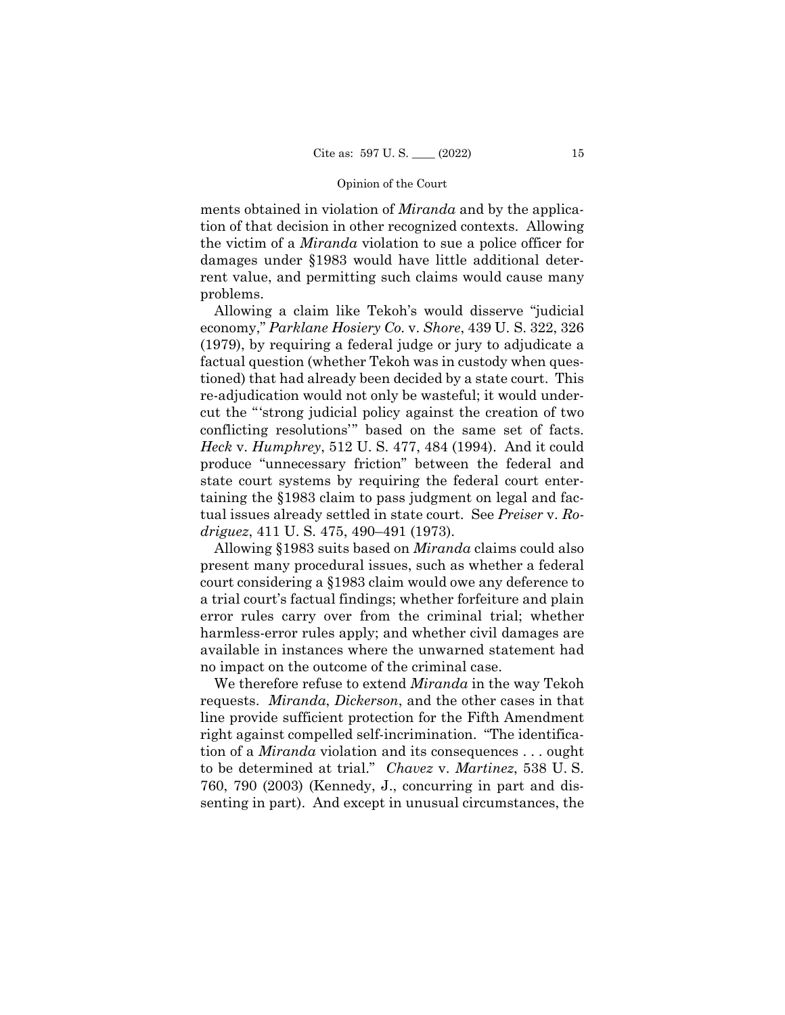ments obtained in violation of *Miranda* and by the application of that decision in other recognized contexts. Allowing the victim of a *Miranda* violation to sue a police officer for damages under §1983 would have little additional deterrent value, and permitting such claims would cause many problems.

Allowing a claim like Tekoh's would disserve "judicial economy," *Parklane Hosiery Co.* v. *Shore*, 439 U. S. 322, 326 (1979), by requiring a federal judge or jury to adjudicate a factual question (whether Tekoh was in custody when questioned) that had already been decided by a state court. This re-adjudication would not only be wasteful; it would undercut the "'strong judicial policy against the creation of two conflicting resolutions'" based on the same set of facts. *Heck* v. *Humphrey*, 512 U. S. 477, 484 (1994). And it could produce "unnecessary friction" between the federal and state court systems by requiring the federal court entertaining the §1983 claim to pass judgment on legal and factual issues already settled in state court. See *Preiser* v. *Rodriguez*, 411 U. S. 475, 490–491 (1973).

Allowing §1983 suits based on *Miranda* claims could also present many procedural issues, such as whether a federal court considering a §1983 claim would owe any deference to a trial court's factual findings; whether forfeiture and plain error rules carry over from the criminal trial; whether harmless-error rules apply; and whether civil damages are available in instances where the unwarned statement had no impact on the outcome of the criminal case.

We therefore refuse to extend *Miranda* in the way Tekoh requests. *Miranda*, *Dickerson*, and the other cases in that line provide sufficient protection for the Fifth Amendment right against compelled self-incrimination. "The identification of a *Miranda* violation and its consequences . . . ought to be determined at trial." *Chavez* v. *Martinez*, 538 U. S. 760, 790 (2003) (Kennedy, J., concurring in part and dissenting in part). And except in unusual circumstances, the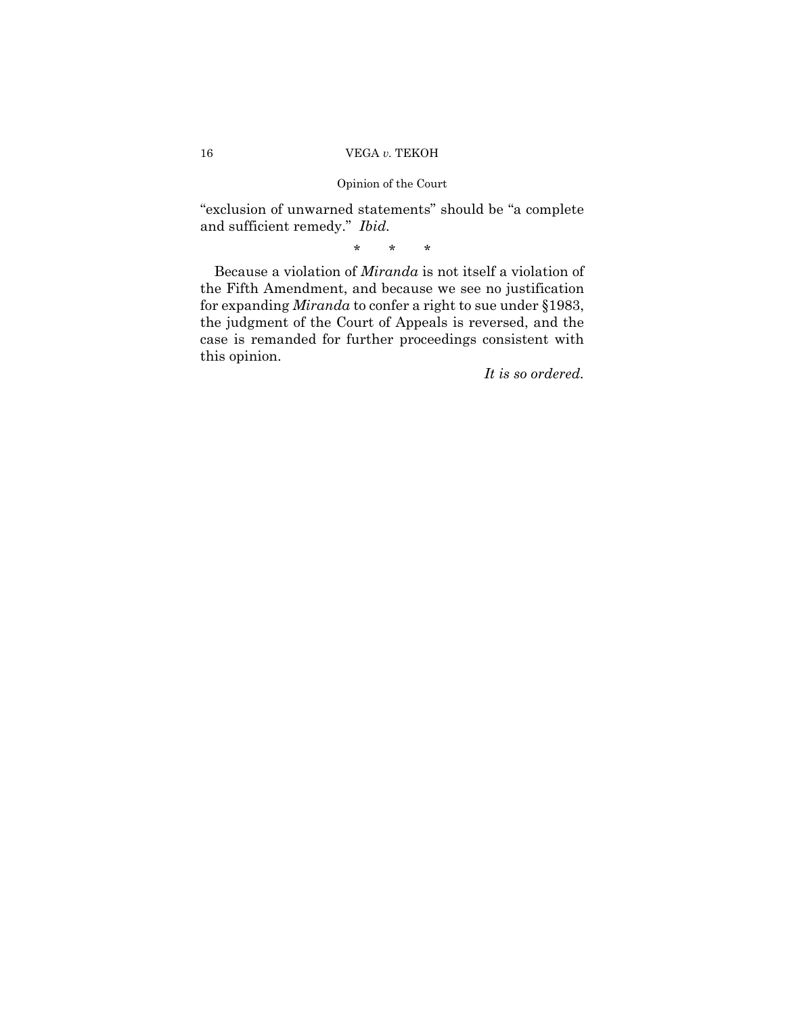and sufficient remedy." *Ibid.*  "exclusion of unwarned statements" should be "a complete

\* \* \*

Because a violation of *Miranda* is not itself a violation of the Fifth Amendment, and because we see no justification for expanding *Miranda* to confer a right to sue under §1983, the judgment of the Court of Appeals is reversed, and the case is remanded for further proceedings consistent with this opinion.

*It is so ordered.*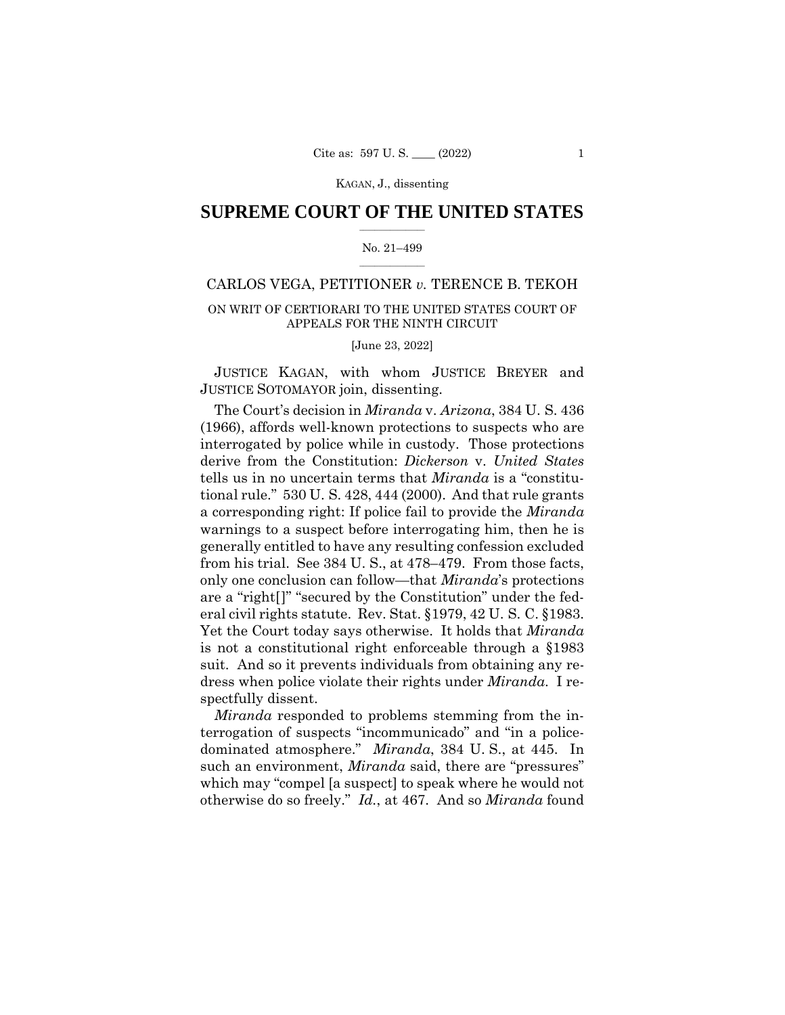# $\frac{1}{2}$  , where  $\frac{1}{2}$ **SUPREME COURT OF THE UNITED STATES**

## $\frac{1}{2}$  ,  $\frac{1}{2}$  ,  $\frac{1}{2}$  ,  $\frac{1}{2}$  ,  $\frac{1}{2}$  ,  $\frac{1}{2}$ No. 21–499

# CARLOS VEGA, PETITIONER *v.* TERENCE B. TEKOH

# ON WRIT OF CERTIORARI TO THE UNITED STATES COURT OF APPEALS FOR THE NINTH CIRCUIT

[June 23, 2022]

JUSTICE KAGAN, with whom JUSTICE BREYER and JUSTICE SOTOMAYOR join, dissenting.

The Court's decision in *Miranda* v. *Arizona*, 384 U. S. 436 (1966), affords well-known protections to suspects who are interrogated by police while in custody. Those protections derive from the Constitution: *Dickerson* v. *United States*  tells us in no uncertain terms that *Miranda* is a "constitutional rule." 530 U. S. 428, 444 (2000). And that rule grants a corresponding right: If police fail to provide the *Miranda*  warnings to a suspect before interrogating him, then he is generally entitled to have any resulting confession excluded from his trial. See 384 U. S., at 478–479. From those facts, only one conclusion can follow—that *Miranda*'s protections are a "right[]" "secured by the Constitution" under the federal civil rights statute. Rev. Stat. §1979, 42 U. S. C. §1983. Yet the Court today says otherwise. It holds that *Miranda*  is not a constitutional right enforceable through a §1983 suit. And so it prevents individuals from obtaining any redress when police violate their rights under *Miranda*. I respectfully dissent.

 otherwise do so freely." *Id.*, at 467. And so *Miranda* found *Miranda* responded to problems stemming from the interrogation of suspects "incommunicado" and "in a policedominated atmosphere." *Miranda*, 384 U. S., at 445. In such an environment, *Miranda* said, there are "pressures" which may "compel [a suspect] to speak where he would not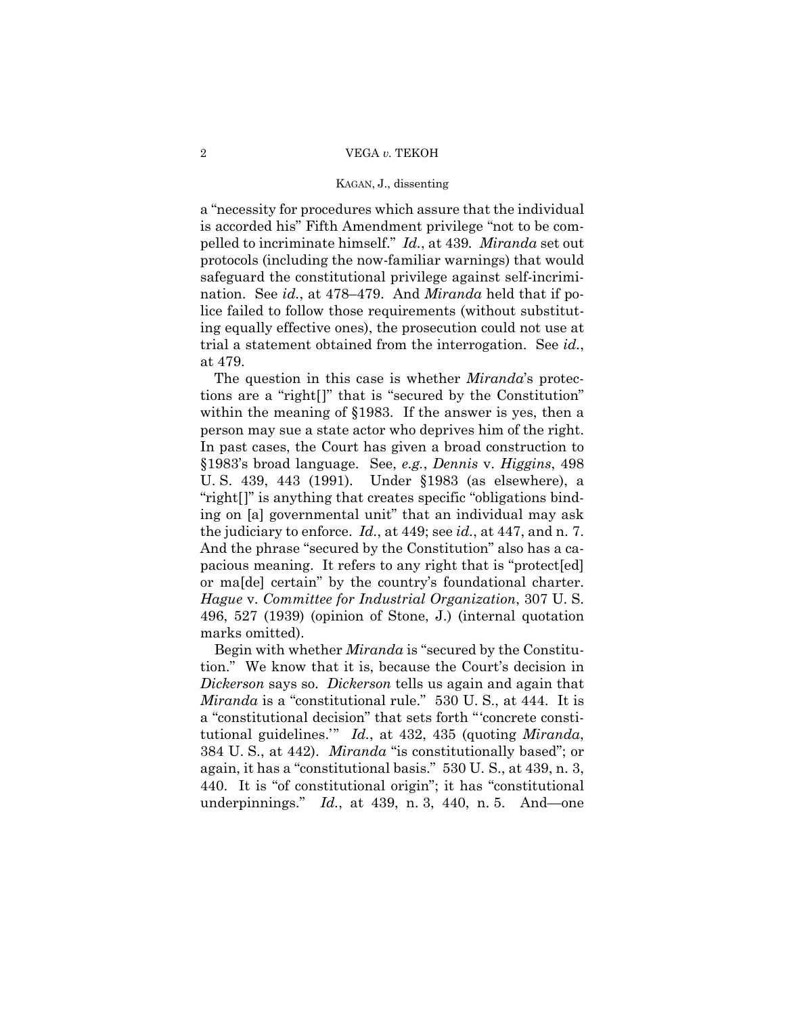pelled to incriminate himself." *Id.*, at 439*. Miranda* set out a "necessity for procedures which assure that the individual is accorded his" Fifth Amendment privilege "not to be comprotocols (including the now-familiar warnings) that would safeguard the constitutional privilege against self-incrimination. See *id.*, at 478–479. And *Miranda* held that if police failed to follow those requirements (without substituting equally effective ones), the prosecution could not use at trial a statement obtained from the interrogation. See *id.*, at 479.

 the judiciary to enforce. *Id.*, at 449; see *id.*, at 447, and n. 7. The question in this case is whether *Miranda*'s protections are a "right[]" that is "secured by the Constitution" within the meaning of §1983. If the answer is yes, then a person may sue a state actor who deprives him of the right. In past cases, the Court has given a broad construction to §1983's broad language. See, *e.g.*, *Dennis* v. *Higgins*, 498 U. S. 439, 443 (1991). Under §1983 (as elsewhere), a "right[]" is anything that creates specific "obligations binding on [a] governmental unit" that an individual may ask And the phrase "secured by the Constitution" also has a capacious meaning. It refers to any right that is "protect[ed] or ma[de] certain" by the country's foundational charter. *Hague* v. *Committee for Industrial Organization*, 307 U. S. 496, 527 (1939) (opinion of Stone, J.) (internal quotation marks omitted).

 *Dickerson* says so. *Dickerson* tells us again and again that Begin with whether *Miranda* is "secured by the Constitution." We know that it is, because the Court's decision in *Miranda* is a "constitutional rule." 530 U. S., at 444. It is a "constitutional decision" that sets forth "'concrete constitutional guidelines.'" *Id.*, at 432, 435 (quoting *Miranda*, 384 U. S., at 442). *Miranda* "is constitutionally based"; or again, it has a "constitutional basis." 530 U. S., at 439, n. 3, 440. It is "of constitutional origin"; it has "constitutional underpinnings." *Id.*, at 439, n. 3, 440, n. 5. And—one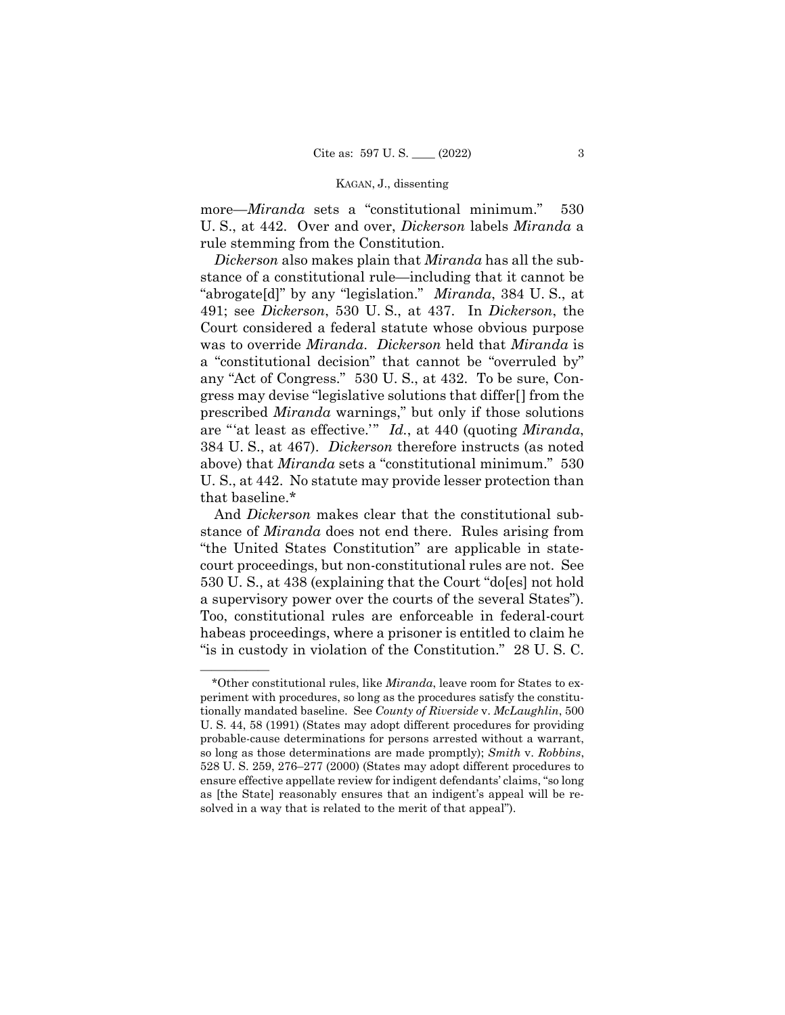more—*Miranda* sets a "constitutional minimum." 530 U. S., at 442. Over and over, *Dickerson* labels *Miranda* a rule stemming from the Constitution.

*Dickerson* also makes plain that *Miranda* has all the substance of a constitutional rule—including that it cannot be "abrogate[d]" by any "legislation." *Miranda*, 384 U. S., at 491; see *Dickerson*, 530 U. S., at 437. In *Dickerson*, the Court considered a federal statute whose obvious purpose was to override *Miranda*. *Dickerson* held that *Miranda* is a "constitutional decision" that cannot be "overruled by" any "Act of Congress." 530 U. S., at 432. To be sure, Congress may devise "legislative solutions that differ[] from the prescribed *Miranda* warnings," but only if those solutions are "'at least as effective.'" *Id.*, at 440 (quoting *Miranda*, 384 U. S., at 467). *Dickerson* therefore instructs (as noted above) that *Miranda* sets a "constitutional minimum." 530 U. S., at 442. No statute may provide lesser protection than that baseline.\*

And *Dickerson* makes clear that the constitutional substance of *Miranda* does not end there. Rules arising from "the United States Constitution" are applicable in statecourt proceedings, but non-constitutional rules are not. See 530 U. S., at 438 (explaining that the Court "do[es] not hold a supervisory power over the courts of the several States"). Too, constitutional rules are enforceable in federal-court habeas proceedings, where a prisoner is entitled to claim he "is in custody in violation of the Constitution." 28 U. S. C.

——————

<sup>\*</sup>Other constitutional rules, like *Miranda*, leave room for States to experiment with procedures, so long as the procedures satisfy the constitutionally mandated baseline. See *County of Riverside* v. *McLaughlin*, 500 U. S. 44, 58 (1991) (States may adopt different procedures for providing probable-cause determinations for persons arrested without a warrant, so long as those determinations are made promptly); *Smith* v. *Robbins*, 528 U. S. 259, 276–277 (2000) (States may adopt different procedures to ensure effective appellate review for indigent defendants' claims, "so long as [the State] reasonably ensures that an indigent's appeal will be resolved in a way that is related to the merit of that appeal").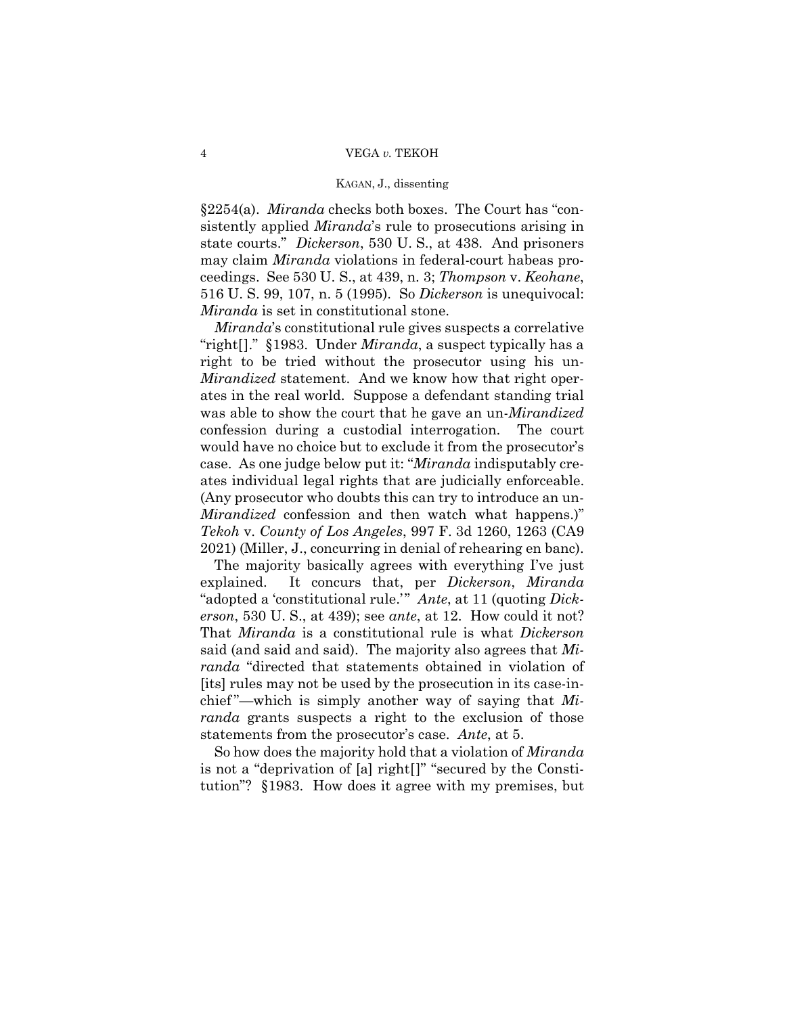§2254(a). *Miranda* checks both boxes. The Court has "consistently applied *Miranda*'s rule to prosecutions arising in state courts." *Dickerson*, 530 U. S., at 438. And prisoners may claim *Miranda* violations in federal-court habeas proceedings. See 530 U. S., at 439, n. 3; *Thompson* v. *Keohane*, 516 U. S. 99, 107, n. 5 (1995). So *Dickerson* is unequivocal: *Miranda* is set in constitutional stone.

*Mirandized* statement. And we know how that right oper-*Miranda*'s constitutional rule gives suspects a correlative "right[]." §1983. Under *Miranda*, a suspect typically has a right to be tried without the prosecutor using his unates in the real world. Suppose a defendant standing trial was able to show the court that he gave an un-*Mirandized*  confession during a custodial interrogation. The court would have no choice but to exclude it from the prosecutor's case. As one judge below put it: "*Miranda* indisputably creates individual legal rights that are judicially enforceable. (Any prosecutor who doubts this can try to introduce an un-*Mirandized* confession and then watch what happens.)" *Tekoh* v. *County of Los Angeles*, 997 F. 3d 1260, 1263 (CA9 2021) (Miller, J., concurring in denial of rehearing en banc).

The majority basically agrees with everything I've just explained. It concurs that, per *Dickerson*, *Miranda*  "adopted a 'constitutional rule.'" *Ante*, at 11 (quoting *Dickerson*, 530 U. S., at 439); see *ante*, at 12. How could it not? That *Miranda* is a constitutional rule is what *Dickerson*  said (and said and said). The majority also agrees that *Miranda* "directed that statements obtained in violation of [its] rules may not be used by the prosecution in its case-inchief "—which is simply another way of saying that *Miranda* grants suspects a right to the exclusion of those statements from the prosecutor's case. *Ante*, at 5.

So how does the majority hold that a violation of *Miranda*  is not a "deprivation of [a] right[]" "secured by the Constitution"? §1983. How does it agree with my premises, but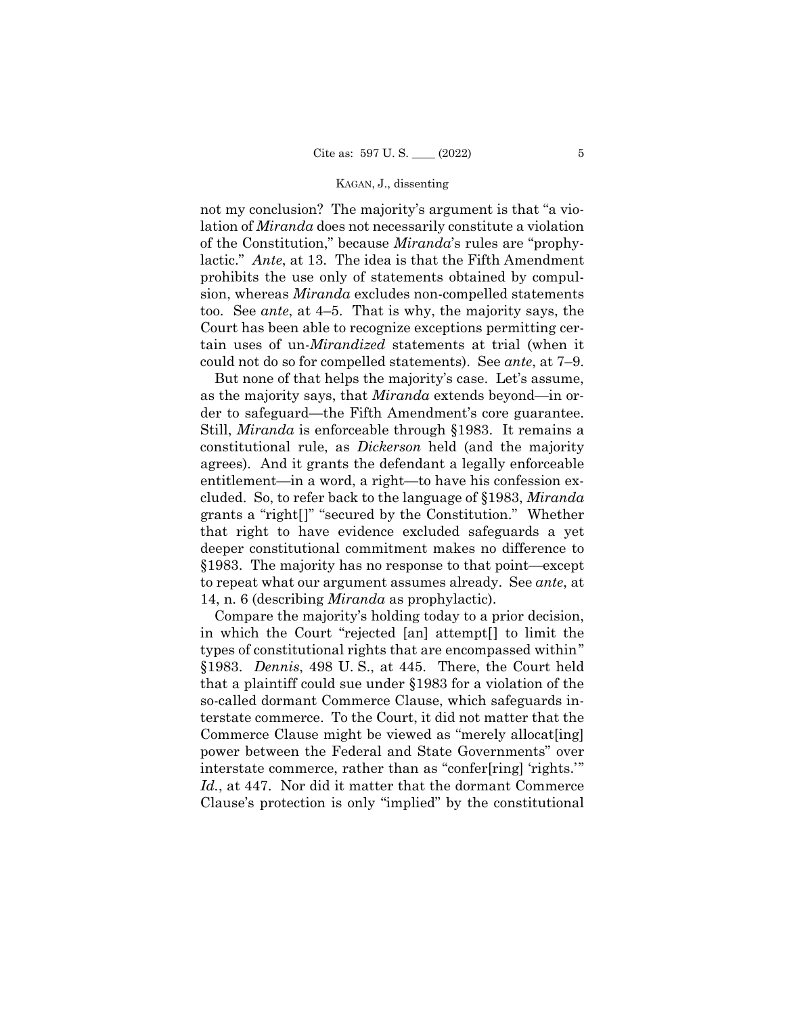lactic." *Ante*, at 13. The idea is that the Fifth Amendment  too. See *ante*, at 4–5. That is why, the majority says, the not my conclusion? The majority's argument is that "a violation of *Miranda* does not necessarily constitute a violation of the Constitution," because *Miranda*'s rules are "prophyprohibits the use only of statements obtained by compulsion, whereas *Miranda* excludes non-compelled statements Court has been able to recognize exceptions permitting certain uses of un-*Mirandized* statements at trial (when it could not do so for compelled statements). See *ante*, at 7–9.

But none of that helps the majority's case. Let's assume, as the majority says, that *Miranda* extends beyond—in order to safeguard—the Fifth Amendment's core guarantee. Still, *Miranda* is enforceable through §1983. It remains a constitutional rule, as *Dickerson* held (and the majority agrees). And it grants the defendant a legally enforceable entitlement—in a word, a right—to have his confession excluded. So, to refer back to the language of §1983, *Miranda*  grants a "right[]" "secured by the Constitution." Whether that right to have evidence excluded safeguards a yet deeper constitutional commitment makes no difference to §1983. The majority has no response to that point—except to repeat what our argument assumes already. See *ante*, at 14, n. 6 (describing *Miranda* as prophylactic).

Compare the majority's holding today to a prior decision, in which the Court "rejected [an] attempt[] to limit the types of constitutional rights that are encompassed within" §1983. *Dennis*, 498 U. S., at 445. There, the Court held that a plaintiff could sue under §1983 for a violation of the so-called dormant Commerce Clause, which safeguards interstate commerce. To the Court, it did not matter that the Commerce Clause might be viewed as "merely allocat<sup>[ing]</sup> power between the Federal and State Governments" over interstate commerce, rather than as "confer[ring] 'rights.'" *Id.*, at 447. Nor did it matter that the dormant Commerce Clause's protection is only "implied" by the constitutional